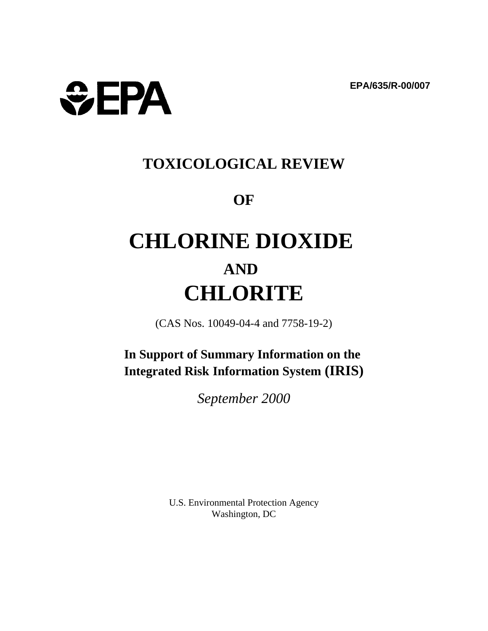

# **TOXICOLOGICAL REVIEW**

# **OF**

# **CHLORINE DIOXIDE AND CHLORITE**

(CAS Nos. 10049-04-4 and 7758-19-2)

**In Support of Summary Information on the Integrated Risk Information System (IRIS)** 

*September 2000* 

U.S. Environmental Protection Agency Washington, DC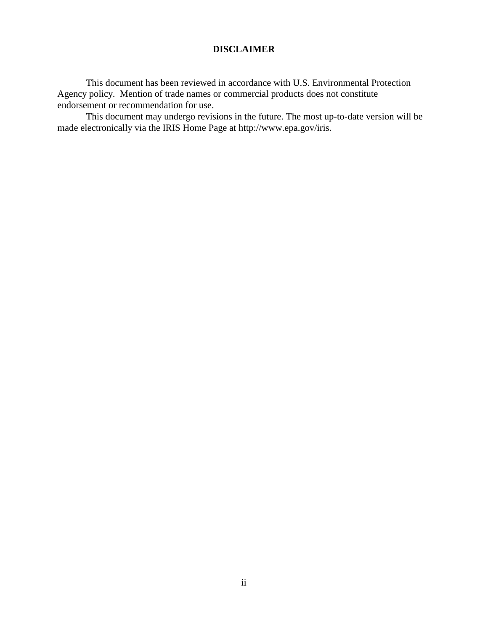# **DISCLAIMER**

This document has been reviewed in accordance with U.S. Environmental Protection Agency policy. Mention of trade names or commercial products does not constitute endorsement or recommendation for use.

This document may undergo revisions in the future. The most up-to-date version will be made electronically via the IRIS Home Page at http://www.epa.gov/iris.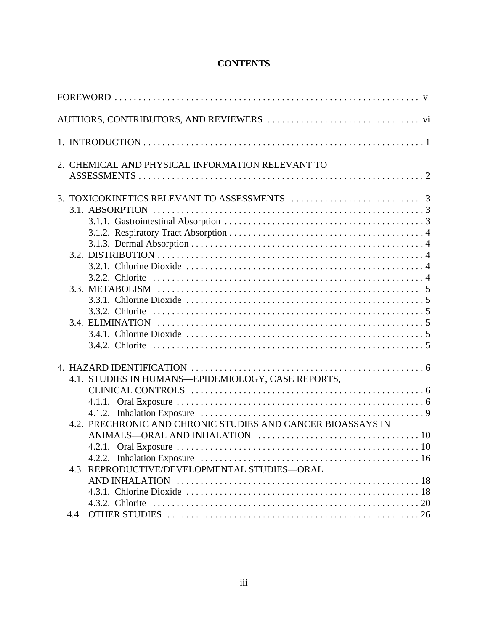# **CONTENTS**

| FOREWORD $\dots\dots\dots\dots\dots\dots\dots\dots\dots\dots\dots\dots\dots\dots\dots\dots\dots\dots$                                                             |  |
|-------------------------------------------------------------------------------------------------------------------------------------------------------------------|--|
|                                                                                                                                                                   |  |
|                                                                                                                                                                   |  |
| 2. CHEMICAL AND PHYSICAL INFORMATION RELEVANT TO                                                                                                                  |  |
|                                                                                                                                                                   |  |
| 4.1. STUDIES IN HUMANS—EPIDEMIOLOGY, CASE REPORTS,<br>4.2. PRECHRONIC AND CHRONIC STUDIES AND CANCER BIOASSAYS IN<br>4.3. REPRODUCTIVE/DEVELOPMENTAL STUDIES-ORAL |  |
|                                                                                                                                                                   |  |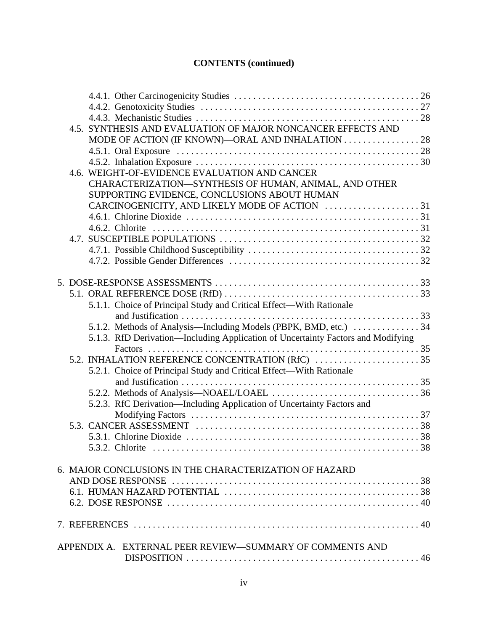# **CONTENTS (continued)**

|  | 4.5. SYNTHESIS AND EVALUATION OF MAJOR NONCANCER EFFECTS AND                     |  |
|--|----------------------------------------------------------------------------------|--|
|  | MODE OF ACTION (IF KNOWN)—ORAL AND INHALATION 28                                 |  |
|  |                                                                                  |  |
|  |                                                                                  |  |
|  | 4.6. WEIGHT-OF-EVIDENCE EVALUATION AND CANCER                                    |  |
|  | CHARACTERIZATION-SYNTHESIS OF HUMAN, ANIMAL, AND OTHER                           |  |
|  | SUPPORTING EVIDENCE, CONCLUSIONS ABOUT HUMAN                                     |  |
|  |                                                                                  |  |
|  |                                                                                  |  |
|  |                                                                                  |  |
|  |                                                                                  |  |
|  |                                                                                  |  |
|  |                                                                                  |  |
|  |                                                                                  |  |
|  |                                                                                  |  |
|  |                                                                                  |  |
|  | 5.1.1. Choice of Principal Study and Critical Effect—With Rationale              |  |
|  |                                                                                  |  |
|  | 5.1.2. Methods of Analysis—Including Models (PBPK, BMD, etc.)  34                |  |
|  | 5.1.3. RfD Derivation—Including Application of Uncertainty Factors and Modifying |  |
|  |                                                                                  |  |
|  |                                                                                  |  |
|  | 5.2.1. Choice of Principal Study and Critical Effect—With Rationale              |  |
|  |                                                                                  |  |
|  |                                                                                  |  |
|  | 5.2.3. RfC Derivation—Including Application of Uncertainty Factors and           |  |
|  |                                                                                  |  |
|  |                                                                                  |  |
|  |                                                                                  |  |
|  | 5.3.2. Chlorite                                                                  |  |
|  |                                                                                  |  |
|  | 6. MAJOR CONCLUSIONS IN THE CHARACTERIZATION OF HAZARD                           |  |
|  |                                                                                  |  |
|  |                                                                                  |  |
|  |                                                                                  |  |
|  |                                                                                  |  |
|  |                                                                                  |  |
|  | APPENDIX A. EXTERNAL PEER REVIEW—SUMMARY OF COMMENTS AND                         |  |
|  |                                                                                  |  |
|  |                                                                                  |  |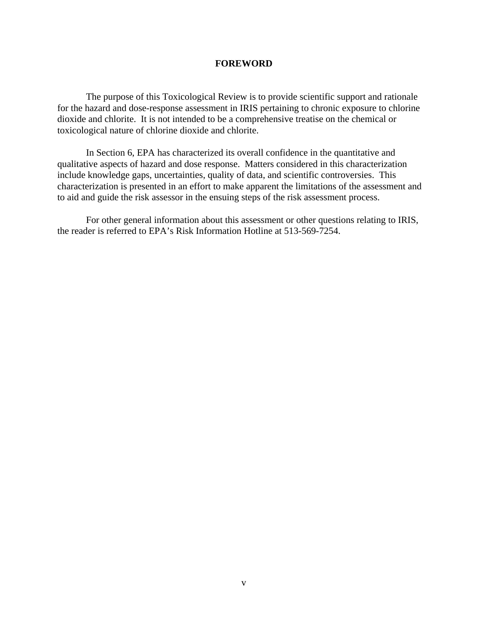#### **FOREWORD**

The purpose of this Toxicological Review is to provide scientific support and rationale for the hazard and dose-response assessment in IRIS pertaining to chronic exposure to chlorine dioxide and chlorite. It is not intended to be a comprehensive treatise on the chemical or toxicological nature of chlorine dioxide and chlorite.

In Section 6, EPA has characterized its overall confidence in the quantitative and qualitative aspects of hazard and dose response. Matters considered in this characterization include knowledge gaps, uncertainties, quality of data, and scientific controversies. This characterization is presented in an effort to make apparent the limitations of the assessment and to aid and guide the risk assessor in the ensuing steps of the risk assessment process.

For other general information about this assessment or other questions relating to IRIS, the reader is referred to EPA's Risk Information Hotline at 513-569-7254.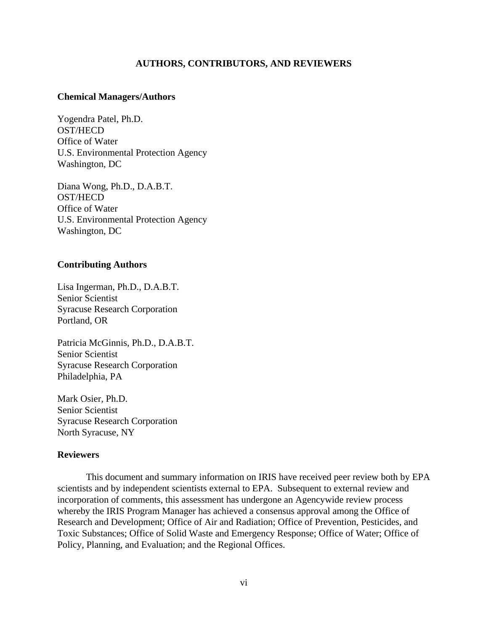# **AUTHORS, CONTRIBUTORS, AND REVIEWERS**

#### **Chemical Managers/Authors**

Yogendra Patel, Ph.D. OST/HECD Office of Water U.S. Environmental Protection Agency Washington, DC

Diana Wong, Ph.D., D.A.B.T. OST/HECD Office of Water U.S. Environmental Protection Agency Washington, DC

#### **Contributing Authors**

Lisa Ingerman, Ph.D., D.A.B.T. Senior Scientist Syracuse Research Corporation Portland, OR

Patricia McGinnis, Ph.D., D.A.B.T. Senior Scientist Syracuse Research Corporation Philadelphia, PA

Mark Osier, Ph.D. Senior Scientist Syracuse Research Corporation North Syracuse, NY

#### **Reviewers**

This document and summary information on IRIS have received peer review both by EPA scientists and by independent scientists external to EPA. Subsequent to external review and incorporation of comments, this assessment has undergone an Agencywide review process whereby the IRIS Program Manager has achieved a consensus approval among the Office of Research and Development; Office of Air and Radiation; Office of Prevention, Pesticides, and Toxic Substances; Office of Solid Waste and Emergency Response; Office of Water; Office of Policy, Planning, and Evaluation; and the Regional Offices.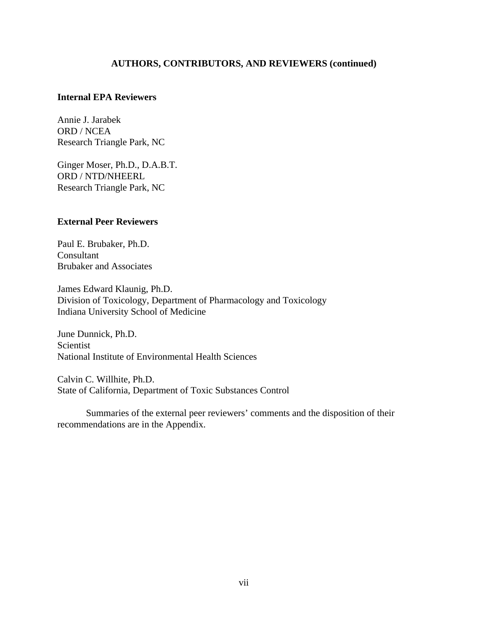# **AUTHORS, CONTRIBUTORS, AND REVIEWERS (continued)**

# **Internal EPA Reviewers**

Annie J. Jarabek ORD / NCEA Research Triangle Park, NC

Ginger Moser, Ph.D., D.A.B.T. ORD / NTD/NHEERL Research Triangle Park, NC

# **External Peer Reviewers**

Paul E. Brubaker, Ph.D. Consultant Brubaker and Associates

James Edward Klaunig, Ph.D. Division of Toxicology, Department of Pharmacology and Toxicology Indiana University School of Medicine

June Dunnick, Ph.D. Scientist National Institute of Environmental Health Sciences

Calvin C. Willhite, Ph.D. State of California, Department of Toxic Substances Control

Summaries of the external peer reviewers' comments and the disposition of their recommendations are in the Appendix.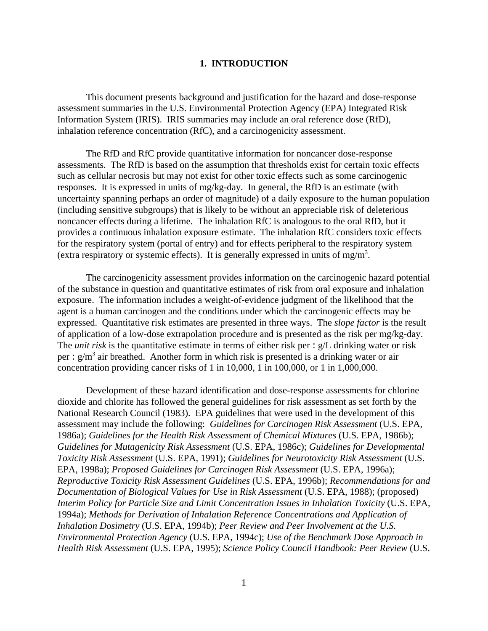#### **1. INTRODUCTION**

This document presents background and justification for the hazard and dose-response assessment summaries in the U.S. Environmental Protection Agency (EPA) Integrated Risk Information System (IRIS). IRIS summaries may include an oral reference dose (RfD), inhalation reference concentration (RfC), and a carcinogenicity assessment.

The RfD and RfC provide quantitative information for noncancer dose-response assessments. The RfD is based on the assumption that thresholds exist for certain toxic effects such as cellular necrosis but may not exist for other toxic effects such as some carcinogenic responses. It is expressed in units of mg/kg-day. In general, the RfD is an estimate (with uncertainty spanning perhaps an order of magnitude) of a daily exposure to the human population (including sensitive subgroups) that is likely to be without an appreciable risk of deleterious noncancer effects during a lifetime. The inhalation RfC is analogous to the oral RfD, but it provides a continuous inhalation exposure estimate. The inhalation RfC considers toxic effects for the respiratory system (portal of entry) and for effects peripheral to the respiratory system (extra respiratory or systemic effects). It is generally expressed in units of mg/m<sup>3</sup>.

The carcinogenicity assessment provides information on the carcinogenic hazard potential of the substance in question and quantitative estimates of risk from oral exposure and inhalation exposure. The information includes a weight-of-evidence judgment of the likelihood that the agent is a human carcinogen and the conditions under which the carcinogenic effects may be expressed. Quantitative risk estimates are presented in three ways. The *slope factor* is the result of application of a low-dose extrapolation procedure and is presented as the risk per mg/kg-day. The *unit risk* is the quantitative estimate in terms of either risk per : g/L drinking water or risk per :  $g/m<sup>3</sup>$  air breathed. Another form in which risk is presented is a drinking water or air concentration providing cancer risks of 1 in 10,000, 1 in 100,000, or 1 in 1,000,000.

Development of these hazard identification and dose-response assessments for chlorine dioxide and chlorite has followed the general guidelines for risk assessment as set forth by the National Research Council (1983). EPA guidelines that were used in the development of this assessment may include the following: *Guidelines for Carcinogen Risk Assessment* (U.S. EPA, 1986a); *Guidelines for the Health Risk Assessment of Chemical Mixtures* (U.S. EPA, 1986b); *Guidelines for Mutagenicity Risk Assessment* (U.S. EPA, 1986c); *Guidelines for Developmental Toxicity Risk Assessment* (U.S. EPA, 1991); *Guidelines for Neurotoxicity Risk Assessment* (U.S. EPA, 1998a); *Proposed Guidelines for Carcinogen Risk Assessment* (U.S. EPA, 1996a); *Reproductive Toxicity Risk Assessment Guidelines* (U.S. EPA, 1996b); *Recommendations for and Documentation of Biological Values for Use in Risk Assessment* (U.S. EPA, 1988); (proposed) *Interim Policy for Particle Size and Limit Concentration Issues in Inhalation Toxicity* (U.S. EPA, 1994a); *Methods for Derivation of Inhalation Reference Concentrations and Application of Inhalation Dosimetry* (U.S. EPA, 1994b); *Peer Review and Peer Involvement at the U.S. Environmental Protection Agency* (U.S. EPA, 1994c); *Use of the Benchmark Dose Approach in Health Risk Assessment* (U.S. EPA, 1995); *Science Policy Council Handbook: Peer Review* (U.S.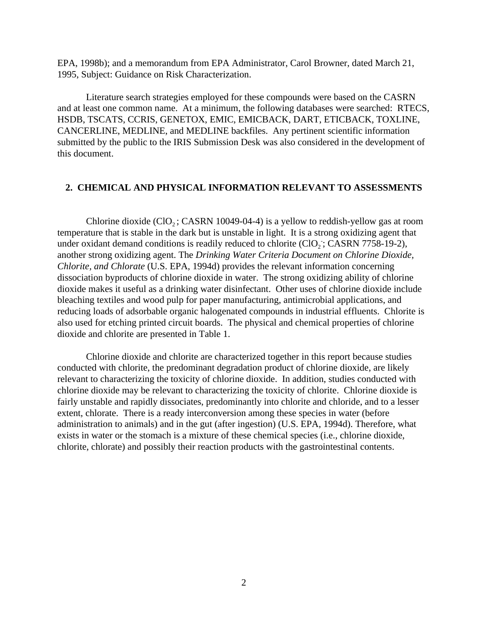EPA, 1998b); and a memorandum from EPA Administrator, Carol Browner, dated March 21, 1995, Subject: Guidance on Risk Characterization.

Literature search strategies employed for these compounds were based on the CASRN and at least one common name. At a minimum, the following databases were searched: RTECS, HSDB, TSCATS, CCRIS, GENETOX, EMIC, EMICBACK, DART, ETICBACK, TOXLINE, CANCERLINE, MEDLINE, and MEDLINE backfiles. Any pertinent scientific information submitted by the public to the IRIS Submission Desk was also considered in the development of this document.

#### **2. CHEMICAL AND PHYSICAL INFORMATION RELEVANT TO ASSESSMENTS**

Chlorine dioxide  $(CIO<sub>2</sub>; CASRN 10049-04-4)$  is a yellow to reddish-yellow gas at room temperature that is stable in the dark but is unstable in light. It is a strong oxidizing agent that under oxidant demand conditions is readily reduced to chlorite  $(CIO<sub>2</sub>$ ; CASRN 7758-19-2), another strong oxidizing agent. The *Drinking Water Criteria Document on Chlorine Dioxide, Chlorite, and Chlorate* (U.S. EPA, 1994d) provides the relevant information concerning dissociation byproducts of chlorine dioxide in water. The strong oxidizing ability of chlorine dioxide makes it useful as a drinking water disinfectant. Other uses of chlorine dioxide include bleaching textiles and wood pulp for paper manufacturing, antimicrobial applications, and reducing loads of adsorbable organic halogenated compounds in industrial effluents. Chlorite is also used for etching printed circuit boards. The physical and chemical properties of chlorine dioxide and chlorite are presented in Table 1.

Chlorine dioxide and chlorite are characterized together in this report because studies conducted with chlorite, the predominant degradation product of chlorine dioxide, are likely relevant to characterizing the toxicity of chlorine dioxide. In addition, studies conducted with chlorine dioxide may be relevant to characterizing the toxicity of chlorite. Chlorine dioxide is fairly unstable and rapidly dissociates, predominantly into chlorite and chloride, and to a lesser extent, chlorate. There is a ready interconversion among these species in water (before administration to animals) and in the gut (after ingestion) (U.S. EPA, 1994d). Therefore, what exists in water or the stomach is a mixture of these chemical species (i.e., chlorine dioxide, chlorite, chlorate) and possibly their reaction products with the gastrointestinal contents.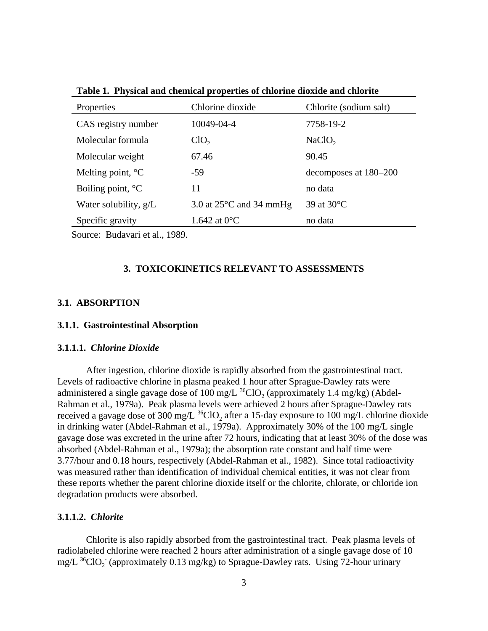| Properties                 | Chlorine dioxide                  | Chlorite (sodium salt) |
|----------------------------|-----------------------------------|------------------------|
| CAS registry number        | 10049-04-4                        | 7758-19-2              |
| Molecular formula          | ClO <sub>2</sub>                  | NaClO <sub>2</sub>     |
| Molecular weight           | 67.46                             | 90.45                  |
| Melting point, $^{\circ}C$ | $-59$                             | decomposes at 180–200  |
| Boiling point, $^{\circ}C$ | 11                                | no data                |
| Water solubility, $g/L$    | 3.0 at $25^{\circ}$ C and 34 mmHg | 39 at 30°C             |
| Specific gravity           | 1.642 at $0^{\circ}$ C            | no data                |

**Table 1. Physical and chemical properties of chlorine dioxide and chlorite** 

Source: Budavari et al., 1989.

# **3. TOXICOKINETICS RELEVANT TO ASSESSMENTS**

# **3.1. ABSORPTION**

#### **3.1.1. Gastrointestinal Absorption**

#### **3.1.1.1.** *Chlorine Dioxide*

After ingestion, chlorine dioxide is rapidly absorbed from the gastrointestinal tract. Levels of radioactive chlorine in plasma peaked 1 hour after Sprague-Dawley rats were administered a single gavage dose of 100 mg/L  $^{36}$ ClO<sub>2</sub> (approximately 1.4 mg/kg) (Abdel-Rahman et al., 1979a). Peak plasma levels were achieved 2 hours after Sprague-Dawley rats received a gavage dose of 300 mg/L  $^{36}$ ClO<sub>2</sub> after a 15-day exposure to 100 mg/L chlorine dioxide in drinking water (Abdel-Rahman et al., 1979a). Approximately 30% of the 100 mg/L single gavage dose was excreted in the urine after 72 hours, indicating that at least 30% of the dose was absorbed (Abdel-Rahman et al., 1979a); the absorption rate constant and half time were 3.77/hour and 0.18 hours, respectively (Abdel-Rahman et al., 1982). Since total radioactivity was measured rather than identification of individual chemical entities, it was not clear from these reports whether the parent chlorine dioxide itself or the chlorite, chlorate, or chloride ion degradation products were absorbed.

#### **3.1.1.2.** *Chlorite*

Chlorite is also rapidly absorbed from the gastrointestinal tract. Peak plasma levels of radiolabeled chlorine were reached 2 hours after administration of a single gavage dose of 10  $mg/L$  <sup>36</sup>ClO<sub>2</sub> (approximately 0.13 mg/kg) to Sprague-Dawley rats. Using 72-hour urinary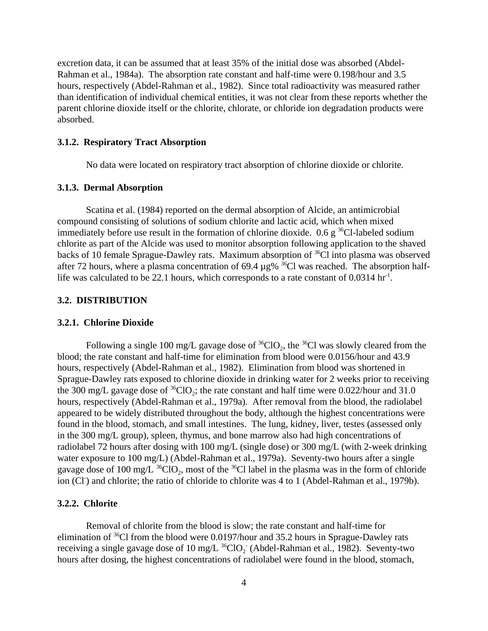excretion data, it can be assumed that at least 35% of the initial dose was absorbed (Abdel-Rahman et al., 1984a). The absorption rate constant and half-time were 0.198/hour and 3.5 hours, respectively (Abdel-Rahman et al., 1982). Since total radioactivity was measured rather than identification of individual chemical entities, it was not clear from these reports whether the parent chlorine dioxide itself or the chlorite, chlorate, or chloride ion degradation products were absorbed.

#### **3.1.2. Respiratory Tract Absorption**

No data were located on respiratory tract absorption of chlorine dioxide or chlorite.

#### **3.1.3. Dermal Absorption**

Scatina et al. (1984) reported on the dermal absorption of Alcide, an antimicrobial compound consisting of solutions of sodium chlorite and lactic acid, which when mixed immediately before use result in the formation of chlorine dioxide. 0.6 g<sup>36</sup>Cl-labeled sodium chlorite as part of the Alcide was used to monitor absorption following application to the shaved backs of 10 female Sprague-Dawley rats. Maximum absorption of <sup>36</sup>Cl into plasma was observed after 72 hours, where a plasma concentration of 69.4  $\mu$ g% <sup>36</sup>Cl was reached. The absorption halflife was calculated to be 22.1 hours, which corresponds to a rate constant of  $0.0314 \text{ hr}^{-1}$ .

#### **3.2. DISTRIBUTION**

#### **3.2.1. Chlorine Dioxide**

Following a single 100 mg/L gavage dose of  ${}^{36}ClO_2$ , the  ${}^{36}Cl$  was slowly cleared from the blood; the rate constant and half-time for elimination from blood were 0.0156/hour and 43.9 hours, respectively (Abdel-Rahman et al., 1982). Elimination from blood was shortened in Sprague-Dawley rats exposed to chlorine dioxide in drinking water for 2 weeks prior to receiving the 300 mg/L gavage dose of  ${}^{36}ClO_2$ ; the rate constant and half time were 0.022/hour and 31.0 hours, respectively (Abdel-Rahman et al., 1979a). After removal from the blood, the radiolabel appeared to be widely distributed throughout the body, although the highest concentrations were found in the blood, stomach, and small intestines. The lung, kidney, liver, testes (assessed only in the 300 mg/L group), spleen, thymus, and bone marrow also had high concentrations of radiolabel 72 hours after dosing with 100 mg/L (single dose) or 300 mg/L (with 2-week drinking water exposure to 100 mg/L) (Abdel-Rahman et al., 1979a). Seventy-two hours after a single gavage dose of 100 mg/L  $^{36}$ ClO<sub>2</sub>, most of the  $^{36}$ Cl label in the plasma was in the form of chloride ion (Cl<sup>-</sup>) and chlorite; the ratio of chloride to chlorite was 4 to 1 (Abdel-Rahman et al., 1979b).

#### **3.2.2. Chlorite**

Removal of chlorite from the blood is slow; the rate constant and half-time for elimination of <sup>36</sup>Cl from the blood were 0.0197/hour and 35.2 hours in Sprague-Dawley rats receiving a single gavage dose of 10 mg/L  $^{36}$ ClO<sub>2</sub> (Abdel-Rahman et al., 1982). Seventy-two hours after dosing, the highest concentrations of radiolabel were found in the blood, stomach,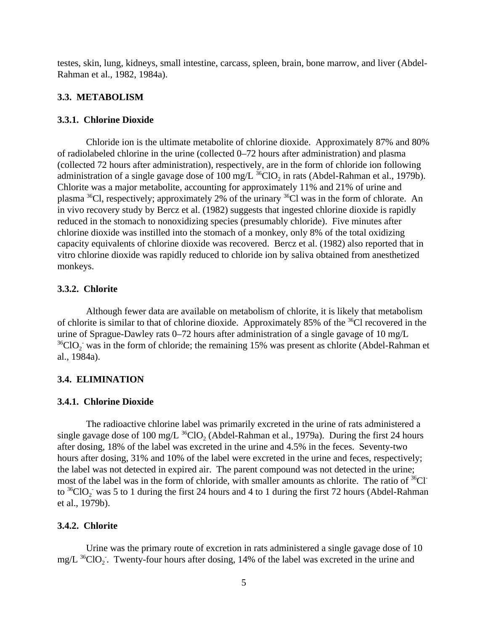testes, skin, lung, kidneys, small intestine, carcass, spleen, brain, bone marrow, and liver (Abdel-Rahman et al., 1982, 1984a).

#### **3.3. METABOLISM**

#### **3.3.1. Chlorine Dioxide**

Chloride ion is the ultimate metabolite of chlorine dioxide. Approximately 87% and 80% of radiolabeled chlorine in the urine (collected 0–72 hours after administration) and plasma (collected 72 hours after administration), respectively, are in the form of chloride ion following administration of a single gavage dose of 100 mg/L  $^{36}$ ClO<sub>2</sub> in rats (Abdel-Rahman et al., 1979b). Chlorite was a major metabolite, accounting for approximately 11% and 21% of urine and plasma  ${}^{36}$ Cl, respectively; approximately 2% of the urinary  ${}^{36}$ Cl was in the form of chlorate. An in vivo recovery study by Bercz et al. (1982) suggests that ingested chlorine dioxide is rapidly reduced in the stomach to nonoxidizing species (presumably chloride). Five minutes after chlorine dioxide was instilled into the stomach of a monkey, only 8% of the total oxidizing capacity equivalents of chlorine dioxide was recovered. Bercz et al. (1982) also reported that in vitro chlorine dioxide was rapidly reduced to chloride ion by saliva obtained from anesthetized monkeys.

# **3.3.2. Chlorite**

Although fewer data are available on metabolism of chlorite, it is likely that metabolism of chlorite is similar to that of chlorine dioxide. Approximately 85% of the 36Cl recovered in the urine of Sprague-Dawley rats 0–72 hours after administration of a single gavage of 10 mg/L  $36$  ClO<sub>2</sub> was in the form of chloride; the remaining 15% was present as chlorite (Abdel-Rahman et al., 1984a).

#### **3.4. ELIMINATION**

#### **3.4.1. Chlorine Dioxide**

The radioactive chlorine label was primarily excreted in the urine of rats administered a single gavage dose of 100 mg/L  $^{36}$ ClO<sub>2</sub> (Abdel-Rahman et al., 1979a). During the first 24 hours after dosing, 18% of the label was excreted in the urine and 4.5% in the feces. Seventy-two hours after dosing, 31% and 10% of the label were excreted in the urine and feces, respectively; the label was not detected in expired air. The parent compound was not detected in the urine; most of the label was in the form of chloride, with smaller amounts as chlorite. The ratio of  ${}^{36}Cl^$ to  ${}^{36}$ ClO<sub>2</sub> was 5 to 1 during the first 24 hours and 4 to 1 during the first 72 hours (Abdel-Rahman et al., 1979b).

#### **3.4.2. Chlorite**

Urine was the primary route of excretion in rats administered a single gavage dose of 10  $mg/L$  <sup>36</sup>ClO<sub>2</sub>. Twenty-four hours after dosing, 14% of the label was excreted in the urine and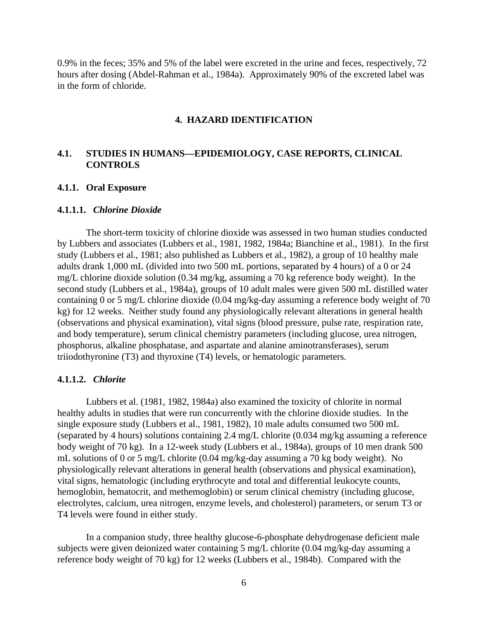0.9% in the feces; 35% and 5% of the label were excreted in the urine and feces, respectively, 72 hours after dosing (Abdel-Rahman et al., 1984a). Approximately 90% of the excreted label was in the form of chloride.

#### **4. HAZARD IDENTIFICATION**

# **4.1. STUDIES IN HUMANS—EPIDEMIOLOGY, CASE REPORTS, CLINICAL CONTROLS**

#### **4.1.1. Oral Exposure**

#### **4.1.1.1.** *Chlorine Dioxide*

The short-term toxicity of chlorine dioxide was assessed in two human studies conducted by Lubbers and associates (Lubbers et al., 1981, 1982, 1984a; Bianchine et al., 1981). In the first study (Lubbers et al., 1981; also published as Lubbers et al., 1982), a group of 10 healthy male adults drank 1,000 mL (divided into two 500 mL portions, separated by 4 hours) of a 0 or 24 mg/L chlorine dioxide solution (0.34 mg/kg, assuming a 70 kg reference body weight). In the second study (Lubbers et al., 1984a), groups of 10 adult males were given 500 mL distilled water containing 0 or 5 mg/L chlorine dioxide (0.04 mg/kg-day assuming a reference body weight of 70 kg) for 12 weeks. Neither study found any physiologically relevant alterations in general health (observations and physical examination), vital signs (blood pressure, pulse rate, respiration rate, and body temperature), serum clinical chemistry parameters (including glucose, urea nitrogen, phosphorus, alkaline phosphatase, and aspartate and alanine aminotransferases), serum triiodothyronine (T3) and thyroxine (T4) levels, or hematologic parameters.

#### **4.1.1.2.** *Chlorite*

Lubbers et al. (1981, 1982, 1984a) also examined the toxicity of chlorite in normal healthy adults in studies that were run concurrently with the chlorine dioxide studies. In the single exposure study (Lubbers et al., 1981, 1982), 10 male adults consumed two 500 mL (separated by 4 hours) solutions containing 2.4 mg/L chlorite (0.034 mg/kg assuming a reference body weight of 70 kg). In a 12-week study (Lubbers et al., 1984a), groups of 10 men drank 500 mL solutions of 0 or 5 mg/L chlorite (0.04 mg/kg-day assuming a 70 kg body weight). No physiologically relevant alterations in general health (observations and physical examination), vital signs, hematologic (including erythrocyte and total and differential leukocyte counts, hemoglobin, hematocrit, and methemoglobin) or serum clinical chemistry (including glucose, electrolytes, calcium, urea nitrogen, enzyme levels, and cholesterol) parameters, or serum T3 or T4 levels were found in either study.

In a companion study, three healthy glucose-6-phosphate dehydrogenase deficient male subjects were given deionized water containing 5 mg/L chlorite (0.04 mg/kg-day assuming a reference body weight of 70 kg) for 12 weeks (Lubbers et al., 1984b). Compared with the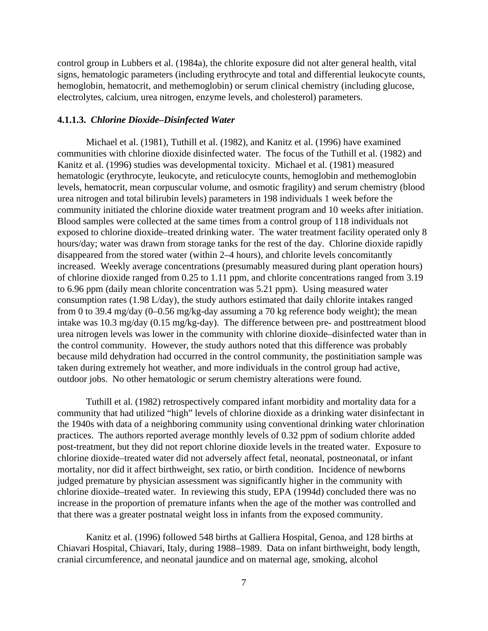control group in Lubbers et al. (1984a), the chlorite exposure did not alter general health, vital signs, hematologic parameters (including erythrocyte and total and differential leukocyte counts, hemoglobin, hematocrit, and methemoglobin) or serum clinical chemistry (including glucose, electrolytes, calcium, urea nitrogen, enzyme levels, and cholesterol) parameters.

#### **4.1.1.3.** *Chlorine Dioxide–Disinfected Water*

Michael et al. (1981), Tuthill et al. (1982), and Kanitz et al. (1996) have examined communities with chlorine dioxide disinfected water. The focus of the Tuthill et al. (1982) and Kanitz et al. (1996) studies was developmental toxicity. Michael et al. (1981) measured hematologic (erythrocyte, leukocyte, and reticulocyte counts, hemoglobin and methemoglobin levels, hematocrit, mean corpuscular volume, and osmotic fragility) and serum chemistry (blood urea nitrogen and total bilirubin levels) parameters in 198 individuals 1 week before the community initiated the chlorine dioxide water treatment program and 10 weeks after initiation. Blood samples were collected at the same times from a control group of 118 individuals not exposed to chlorine dioxide–treated drinking water. The water treatment facility operated only 8 hours/day; water was drawn from storage tanks for the rest of the day. Chlorine dioxide rapidly disappeared from the stored water (within 2–4 hours), and chlorite levels concomitantly increased. Weekly average concentrations (presumably measured during plant operation hours) of chlorine dioxide ranged from 0.25 to 1.11 ppm, and chlorite concentrations ranged from 3.19 to 6.96 ppm (daily mean chlorite concentration was 5.21 ppm). Using measured water consumption rates (1.98 L/day), the study authors estimated that daily chlorite intakes ranged from 0 to 39.4 mg/day (0–0.56 mg/kg-day assuming a 70 kg reference body weight); the mean intake was 10.3 mg/day (0.15 mg/kg-day). The difference between pre- and posttreatment blood urea nitrogen levels was lower in the community with chlorine dioxide–disinfected water than in the control community. However, the study authors noted that this difference was probably because mild dehydration had occurred in the control community, the postinitiation sample was taken during extremely hot weather, and more individuals in the control group had active, outdoor jobs. No other hematologic or serum chemistry alterations were found.

Tuthill et al. (1982) retrospectively compared infant morbidity and mortality data for a community that had utilized "high" levels of chlorine dioxide as a drinking water disinfectant in the 1940s with data of a neighboring community using conventional drinking water chlorination practices. The authors reported average monthly levels of 0.32 ppm of sodium chlorite added post-treatment, but they did not report chlorine dioxide levels in the treated water. Exposure to chlorine dioxide–treated water did not adversely affect fetal, neonatal, postneonatal, or infant mortality, nor did it affect birthweight, sex ratio, or birth condition. Incidence of newborns judged premature by physician assessment was significantly higher in the community with chlorine dioxide–treated water. In reviewing this study, EPA (1994d) concluded there was no increase in the proportion of premature infants when the age of the mother was controlled and that there was a greater postnatal weight loss in infants from the exposed community.

Kanitz et al. (1996) followed 548 births at Galliera Hospital, Genoa, and 128 births at Chiavari Hospital, Chiavari, Italy, during 1988–1989. Data on infant birthweight, body length, cranial circumference, and neonatal jaundice and on maternal age, smoking, alcohol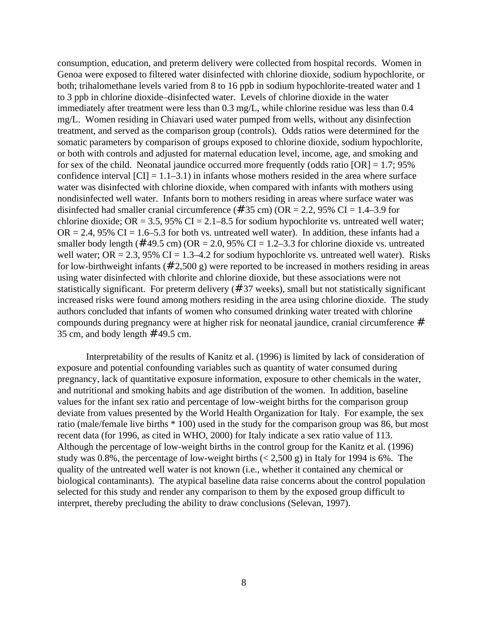consumption, education, and preterm delivery were collected from hospital records. Women in Genoa were exposed to filtered water disinfected with chlorine dioxide, sodium hypochlorite, or both; trihalomethane levels varied from 8 to 16 ppb in sodium hypochlorite-treated water and 1 to 3 ppb in chlorine dioxide–disinfected water. Levels of chlorine dioxide in the water immediately after treatment were less than 0.3 mg/L, while chlorine residue was less than 0.4 mg/L. Women residing in Chiavari used water pumped from wells, without any disinfection treatment, and served as the comparison group (controls). Odds ratios were determined for the somatic parameters by comparison of groups exposed to chlorine dioxide, sodium hypochlorite, or both with controls and adjusted for maternal education level, income, age, and smoking and for sex of the child. Neonatal jaundice occurred more frequently (odds ratio  $[OR] = 1.7; 95\%$ confidence interval  $\text{[CI]} = 1.1 - 3.1$ ) in infants whose mothers resided in the area where surface water was disinfected with chlorine dioxide, when compared with infants with mothers using nondisinfected well water. Infants born to mothers residing in areas where surface water was disinfected had smaller cranial circumference (#35 cm) ( $OR = 2.2$ , 95% CI = 1.4–3.9 for chlorine dioxide; OR = 3.5, 95% CI = 2.1–8.5 for sodium hypochlorite vs. untreated well water;  $OR = 2.4$ , 95% CI = 1.6–5.3 for both vs. untreated well water). In addition, these infants had a smaller body length (# 49.5 cm) ( $OR = 2.0$ , 95% CI = 1.2–3.3 for chlorine dioxide vs. untreated well water; OR = 2.3, 95% CI = 1.3–4.2 for sodium hypochlorite vs. untreated well water). Risks for low-birthweight infants ( $\#$  2,500 g) were reported to be increased in mothers residing in areas using water disinfected with chlorite and chlorine dioxide, but these associations were not statistically significant. For preterm delivery (# 37 weeks), small but not statistically significant increased risks were found among mothers residing in the area using chlorine dioxide. The study authors concluded that infants of women who consumed drinking water treated with chlorine compounds during pregnancy were at higher risk for neonatal jaundice, cranial circumference # 35 cm, and body length  $#49.5$  cm.

Interpretability of the results of Kanitz et al. (1996) is limited by lack of consideration of exposure and potential confounding variables such as quantity of water consumed during pregnancy, lack of quantitative exposure information, exposure to other chemicals in the water, and nutritional and smoking habits and age distribution of the women. In addition, baseline values for the infant sex ratio and percentage of low-weight births for the comparison group deviate from values presented by the World Health Organization for Italy. For example, the sex ratio (male/female live births \* 100) used in the study for the comparison group was 86, but most recent data (for 1996, as cited in WHO, 2000) for Italy indicate a sex ratio value of 113. Although the percentage of low-weight births in the control group for the Kanitz et al. (1996) study was 0.8%, the percentage of low-weight births  $(< 2,500 \text{ g})$  in Italy for 1994 is 6%. The quality of the untreated well water is not known (i.e., whether it contained any chemical or biological contaminants). The atypical baseline data raise concerns about the control population selected for this study and render any comparison to them by the exposed group difficult to interpret, thereby precluding the ability to draw conclusions (Selevan, 1997).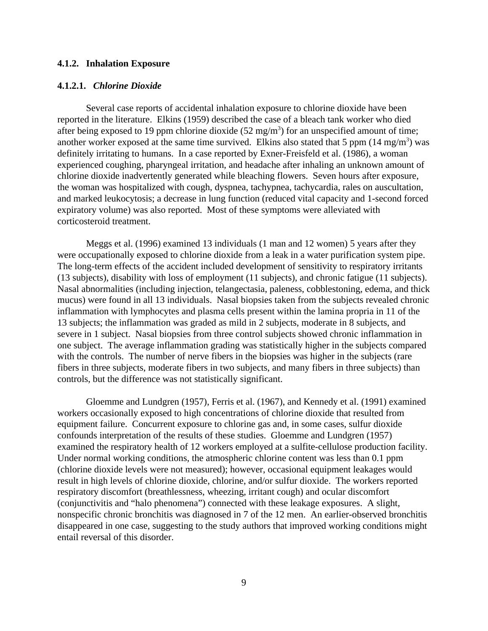#### **4.1.2. Inhalation Exposure**

#### **4.1.2.1.** *Chlorine Dioxide*

Several case reports of accidental inhalation exposure to chlorine dioxide have been reported in the literature. Elkins (1959) described the case of a bleach tank worker who died after being exposed to 19 ppm chlorine dioxide  $(52 \text{ mg/m}^3)$  for an unspecified amount of time; another worker exposed at the same time survived. Elkins also stated that 5 ppm  $(14 \text{ mg/m}^3)$  was definitely irritating to humans. In a case reported by Exner-Freisfeld et al. (1986), a woman experienced coughing, pharyngeal irritation, and headache after inhaling an unknown amount of chlorine dioxide inadvertently generated while bleaching flowers. Seven hours after exposure, the woman was hospitalized with cough, dyspnea, tachypnea, tachycardia, rales on auscultation, and marked leukocytosis; a decrease in lung function (reduced vital capacity and 1-second forced expiratory volume) was also reported. Most of these symptoms were alleviated with corticosteroid treatment.

Meggs et al. (1996) examined 13 individuals (1 man and 12 women) 5 years after they were occupationally exposed to chlorine dioxide from a leak in a water purification system pipe. The long-term effects of the accident included development of sensitivity to respiratory irritants (13 subjects), disability with loss of employment (11 subjects), and chronic fatigue (11 subjects). Nasal abnormalities (including injection, telangectasia, paleness, cobblestoning, edema, and thick mucus) were found in all 13 individuals. Nasal biopsies taken from the subjects revealed chronic inflammation with lymphocytes and plasma cells present within the lamina propria in 11 of the 13 subjects; the inflammation was graded as mild in 2 subjects, moderate in 8 subjects, and severe in 1 subject. Nasal biopsies from three control subjects showed chronic inflammation in one subject. The average inflammation grading was statistically higher in the subjects compared with the controls. The number of nerve fibers in the biopsies was higher in the subjects (rare fibers in three subjects, moderate fibers in two subjects, and many fibers in three subjects) than controls, but the difference was not statistically significant.

Gloemme and Lundgren (1957), Ferris et al. (1967), and Kennedy et al. (1991) examined workers occasionally exposed to high concentrations of chlorine dioxide that resulted from equipment failure. Concurrent exposure to chlorine gas and, in some cases, sulfur dioxide confounds interpretation of the results of these studies. Gloemme and Lundgren (1957) examined the respiratory health of 12 workers employed at a sulfite-cellulose production facility. Under normal working conditions, the atmospheric chlorine content was less than 0.1 ppm (chlorine dioxide levels were not measured); however, occasional equipment leakages would result in high levels of chlorine dioxide, chlorine, and/or sulfur dioxide. The workers reported respiratory discomfort (breathlessness, wheezing, irritant cough) and ocular discomfort (conjunctivitis and "halo phenomena") connected with these leakage exposures. A slight, nonspecific chronic bronchitis was diagnosed in 7 of the 12 men. An earlier-observed bronchitis disappeared in one case, suggesting to the study authors that improved working conditions might entail reversal of this disorder.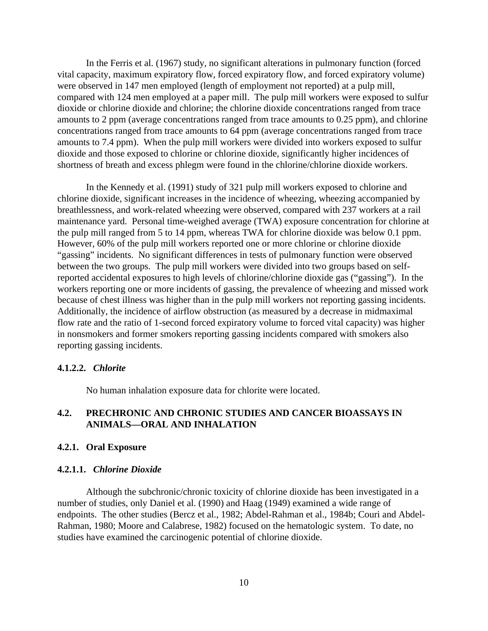In the Ferris et al. (1967) study, no significant alterations in pulmonary function (forced vital capacity, maximum expiratory flow, forced expiratory flow, and forced expiratory volume) were observed in 147 men employed (length of employment not reported) at a pulp mill, compared with 124 men employed at a paper mill. The pulp mill workers were exposed to sulfur dioxide or chlorine dioxide and chlorine; the chlorine dioxide concentrations ranged from trace amounts to 2 ppm (average concentrations ranged from trace amounts to 0.25 ppm), and chlorine concentrations ranged from trace amounts to 64 ppm (average concentrations ranged from trace amounts to 7.4 ppm). When the pulp mill workers were divided into workers exposed to sulfur dioxide and those exposed to chlorine or chlorine dioxide, significantly higher incidences of shortness of breath and excess phlegm were found in the chlorine/chlorine dioxide workers.

In the Kennedy et al. (1991) study of 321 pulp mill workers exposed to chlorine and chlorine dioxide, significant increases in the incidence of wheezing, wheezing accompanied by breathlessness, and work-related wheezing were observed, compared with 237 workers at a rail maintenance yard. Personal time-weighed average (TWA) exposure concentration for chlorine at the pulp mill ranged from 5 to 14 ppm, whereas TWA for chlorine dioxide was below 0.1 ppm. However, 60% of the pulp mill workers reported one or more chlorine or chlorine dioxide "gassing" incidents. No significant differences in tests of pulmonary function were observed between the two groups. The pulp mill workers were divided into two groups based on selfreported accidental exposures to high levels of chlorine/chlorine dioxide gas ("gassing"). In the workers reporting one or more incidents of gassing, the prevalence of wheezing and missed work because of chest illness was higher than in the pulp mill workers not reporting gassing incidents. Additionally, the incidence of airflow obstruction (as measured by a decrease in midmaximal flow rate and the ratio of 1-second forced expiratory volume to forced vital capacity) was higher in nonsmokers and former smokers reporting gassing incidents compared with smokers also reporting gassing incidents.

# **4.1.2.2.** *Chlorite*

No human inhalation exposure data for chlorite were located.

# **4.2. PRECHRONIC AND CHRONIC STUDIES AND CANCER BIOASSAYS IN ANIMALS—ORAL AND INHALATION**

# **4.2.1. Oral Exposure**

#### **4.2.1.1.** *Chlorine Dioxide*

Although the subchronic/chronic toxicity of chlorine dioxide has been investigated in a number of studies, only Daniel et al. (1990) and Haag (1949) examined a wide range of endpoints. The other studies (Bercz et al., 1982; Abdel-Rahman et al., 1984b; Couri and Abdel-Rahman, 1980; Moore and Calabrese, 1982) focused on the hematologic system. To date, no studies have examined the carcinogenic potential of chlorine dioxide.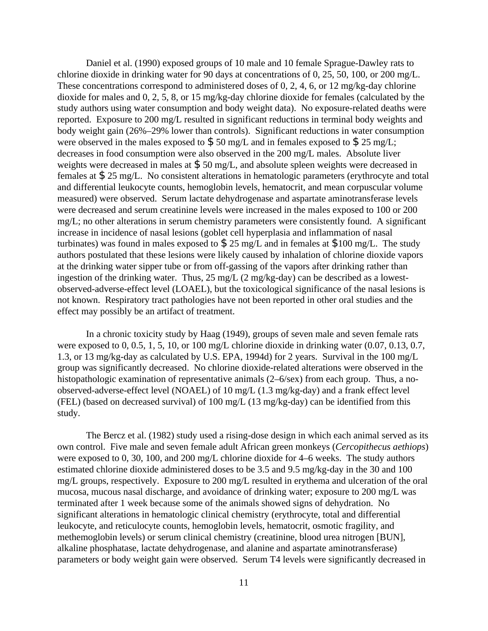Daniel et al. (1990) exposed groups of 10 male and 10 female Sprague-Dawley rats to chlorine dioxide in drinking water for 90 days at concentrations of 0, 25, 50, 100, or 200 mg/L. These concentrations correspond to administered doses of 0, 2, 4, 6, or 12 mg/kg-day chlorine dioxide for males and 0, 2, 5, 8, or 15 mg/kg-day chlorine dioxide for females (calculated by the study authors using water consumption and body weight data). No exposure-related deaths were reported. Exposure to 200 mg/L resulted in significant reductions in terminal body weights and body weight gain (26%–29% lower than controls). Significant reductions in water consumption were observed in the males exposed to  $$50 \text{ mg/L}$  and in females exposed to  $$25 \text{ mg/L}$ ; decreases in food consumption were also observed in the 200 mg/L males. Absolute liver weights were decreased in males at \$ 50 mg/L, and absolute spleen weights were decreased in females at \$ 25 mg/L. No consistent alterations in hematologic parameters (erythrocyte and total and differential leukocyte counts, hemoglobin levels, hematocrit, and mean corpuscular volume measured) were observed. Serum lactate dehydrogenase and aspartate aminotransferase levels were decreased and serum creatinine levels were increased in the males exposed to 100 or 200 mg/L; no other alterations in serum chemistry parameters were consistently found. A significant increase in incidence of nasal lesions (goblet cell hyperplasia and inflammation of nasal turbinates) was found in males exposed to  $\$ 25$  mg/L and in females at  $\$100$  mg/L. The study authors postulated that these lesions were likely caused by inhalation of chlorine dioxide vapors at the drinking water sipper tube or from off-gassing of the vapors after drinking rather than ingestion of the drinking water. Thus, 25 mg/L (2 mg/kg-day) can be described as a lowestobserved-adverse-effect level (LOAEL), but the toxicological significance of the nasal lesions is not known. Respiratory tract pathologies have not been reported in other oral studies and the effect may possibly be an artifact of treatment.

In a chronic toxicity study by Haag (1949), groups of seven male and seven female rats were exposed to 0, 0.5, 1, 5, 10, or 100 mg/L chlorine dioxide in drinking water  $(0.07, 0.13, 0.7, 0.14)$ 1.3, or 13 mg/kg-day as calculated by U.S. EPA, 1994d) for 2 years. Survival in the 100 mg/L group was significantly decreased. No chlorine dioxide-related alterations were observed in the histopathologic examination of representative animals (2–6/sex) from each group. Thus, a noobserved-adverse-effect level (NOAEL) of 10 mg/L (1.3 mg/kg-day) and a frank effect level (FEL) (based on decreased survival) of 100 mg/L (13 mg/kg-day) can be identified from this study.

The Bercz et al. (1982) study used a rising-dose design in which each animal served as its own control. Five male and seven female adult African green monkeys (*Cercopithecus aethiops*) were exposed to 0, 30, 100, and 200 mg/L chlorine dioxide for 4–6 weeks. The study authors estimated chlorine dioxide administered doses to be 3.5 and 9.5 mg/kg-day in the 30 and 100 mg/L groups, respectively. Exposure to 200 mg/L resulted in erythema and ulceration of the oral mucosa, mucous nasal discharge, and avoidance of drinking water; exposure to 200 mg/L was terminated after 1 week because some of the animals showed signs of dehydration. No significant alterations in hematologic clinical chemistry (erythrocyte, total and differential leukocyte, and reticulocyte counts, hemoglobin levels, hematocrit, osmotic fragility, and methemoglobin levels) or serum clinical chemistry (creatinine, blood urea nitrogen [BUN], alkaline phosphatase, lactate dehydrogenase, and alanine and aspartate aminotransferase) parameters or body weight gain were observed. Serum T4 levels were significantly decreased in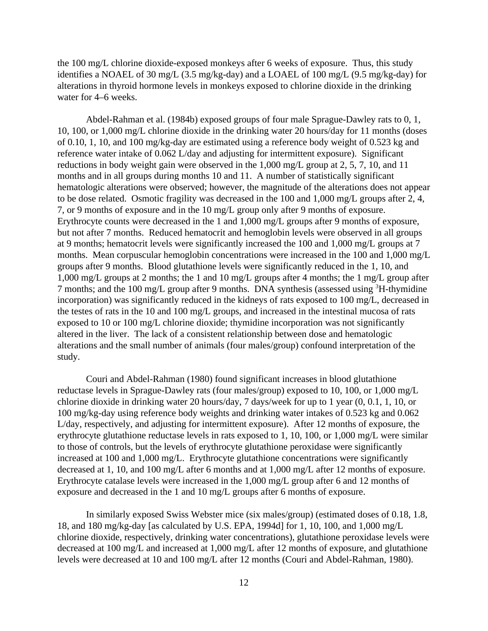the 100 mg/L chlorine dioxide-exposed monkeys after 6 weeks of exposure. Thus, this study identifies a NOAEL of 30 mg/L (3.5 mg/kg-day) and a LOAEL of 100 mg/L (9.5 mg/kg-day) for alterations in thyroid hormone levels in monkeys exposed to chlorine dioxide in the drinking water for 4–6 weeks.

Abdel-Rahman et al. (1984b) exposed groups of four male Sprague-Dawley rats to 0, 1, 10, 100, or 1,000 mg/L chlorine dioxide in the drinking water 20 hours/day for 11 months (doses of 0.10, 1, 10, and 100 mg/kg-day are estimated using a reference body weight of 0.523 kg and reference water intake of 0.062 L/day and adjusting for intermittent exposure). Significant reductions in body weight gain were observed in the 1,000 mg/L group at 2, 5, 7, 10, and 11 months and in all groups during months 10 and 11. A number of statistically significant hematologic alterations were observed; however, the magnitude of the alterations does not appear to be dose related. Osmotic fragility was decreased in the 100 and 1,000 mg/L groups after 2, 4, 7, or 9 months of exposure and in the 10 mg/L group only after 9 months of exposure. Erythrocyte counts were decreased in the 1 and 1,000 mg/L groups after 9 months of exposure, but not after 7 months. Reduced hematocrit and hemoglobin levels were observed in all groups at 9 months; hematocrit levels were significantly increased the 100 and 1,000 mg/L groups at 7 months. Mean corpuscular hemoglobin concentrations were increased in the 100 and 1,000 mg/L groups after 9 months. Blood glutathione levels were significantly reduced in the 1, 10, and 1,000 mg/L groups at 2 months; the 1 and 10 mg/L groups after 4 months; the 1 mg/L group after 7 months; and the 100 mg/L group after 9 months. DNA synthesis (assessed using <sup>3</sup>H-thymidine incorporation) was significantly reduced in the kidneys of rats exposed to 100 mg/L, decreased in the testes of rats in the 10 and 100 mg/L groups, and increased in the intestinal mucosa of rats exposed to 10 or 100 mg/L chlorine dioxide; thymidine incorporation was not significantly altered in the liver. The lack of a consistent relationship between dose and hematologic alterations and the small number of animals (four males/group) confound interpretation of the study.

Couri and Abdel-Rahman (1980) found significant increases in blood glutathione reductase levels in Sprague-Dawley rats (four males/group) exposed to 10, 100, or 1,000 mg/L chlorine dioxide in drinking water 20 hours/day, 7 days/week for up to 1 year (0, 0.1, 1, 10, or 100 mg/kg-day using reference body weights and drinking water intakes of 0.523 kg and 0.062 L/day, respectively, and adjusting for intermittent exposure). After 12 months of exposure, the erythrocyte glutathione reductase levels in rats exposed to 1, 10, 100, or 1,000 mg/L were similar to those of controls, but the levels of erythrocyte glutathione peroxidase were significantly increased at 100 and 1,000 mg/L. Erythrocyte glutathione concentrations were significantly decreased at 1, 10, and 100 mg/L after 6 months and at 1,000 mg/L after 12 months of exposure. Erythrocyte catalase levels were increased in the 1,000 mg/L group after 6 and 12 months of exposure and decreased in the 1 and 10 mg/L groups after 6 months of exposure.

In similarly exposed Swiss Webster mice (six males/group) (estimated doses of 0.18, 1.8, 18, and 180 mg/kg-day [as calculated by U.S. EPA, 1994d] for 1, 10, 100, and 1,000 mg/L chlorine dioxide, respectively, drinking water concentrations), glutathione peroxidase levels were decreased at 100 mg/L and increased at 1,000 mg/L after 12 months of exposure, and glutathione levels were decreased at 10 and 100 mg/L after 12 months (Couri and Abdel-Rahman, 1980).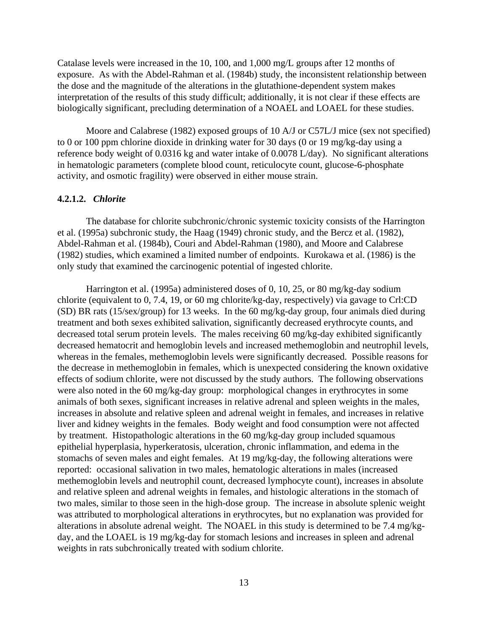Catalase levels were increased in the 10, 100, and 1,000 mg/L groups after 12 months of exposure. As with the Abdel-Rahman et al. (1984b) study, the inconsistent relationship between the dose and the magnitude of the alterations in the glutathione-dependent system makes interpretation of the results of this study difficult; additionally, it is not clear if these effects are biologically significant, precluding determination of a NOAEL and LOAEL for these studies.

Moore and Calabrese (1982) exposed groups of 10 A/J or C57L/J mice (sex not specified) to 0 or 100 ppm chlorine dioxide in drinking water for 30 days (0 or 19 mg/kg-day using a reference body weight of 0.0316 kg and water intake of 0.0078 L/day). No significant alterations in hematologic parameters (complete blood count, reticulocyte count, glucose-6-phosphate activity, and osmotic fragility) were observed in either mouse strain.

#### **4.2.1.2.** *Chlorite*

The database for chlorite subchronic/chronic systemic toxicity consists of the Harrington et al. (1995a) subchronic study, the Haag (1949) chronic study, and the Bercz et al. (1982), Abdel-Rahman et al. (1984b), Couri and Abdel-Rahman (1980), and Moore and Calabrese (1982) studies, which examined a limited number of endpoints. Kurokawa et al. (1986) is the only study that examined the carcinogenic potential of ingested chlorite.

Harrington et al. (1995a) administered doses of 0, 10, 25, or 80 mg/kg-day sodium chlorite (equivalent to 0, 7.4, 19, or 60 mg chlorite/kg-day, respectively) via gavage to Crl:CD (SD) BR rats (15/sex/group) for 13 weeks. In the 60 mg/kg-day group, four animals died during treatment and both sexes exhibited salivation, significantly decreased erythrocyte counts, and decreased total serum protein levels. The males receiving 60 mg/kg-day exhibited significantly decreased hematocrit and hemoglobin levels and increased methemoglobin and neutrophil levels, whereas in the females, methemoglobin levels were significantly decreased. Possible reasons for the decrease in methemoglobin in females, which is unexpected considering the known oxidative effects of sodium chlorite, were not discussed by the study authors. The following observations were also noted in the 60 mg/kg-day group: morphological changes in erythrocytes in some animals of both sexes, significant increases in relative adrenal and spleen weights in the males, increases in absolute and relative spleen and adrenal weight in females, and increases in relative liver and kidney weights in the females. Body weight and food consumption were not affected by treatment. Histopathologic alterations in the 60 mg/kg-day group included squamous epithelial hyperplasia, hyperkeratosis, ulceration, chronic inflammation, and edema in the stomachs of seven males and eight females. At 19 mg/kg-day, the following alterations were reported: occasional salivation in two males, hematologic alterations in males (increased methemoglobin levels and neutrophil count, decreased lymphocyte count), increases in absolute and relative spleen and adrenal weights in females, and histologic alterations in the stomach of two males, similar to those seen in the high-dose group. The increase in absolute splenic weight was attributed to morphological alterations in erythrocytes, but no explanation was provided for alterations in absolute adrenal weight. The NOAEL in this study is determined to be 7.4 mg/kgday, and the LOAEL is 19 mg/kg-day for stomach lesions and increases in spleen and adrenal weights in rats subchronically treated with sodium chlorite.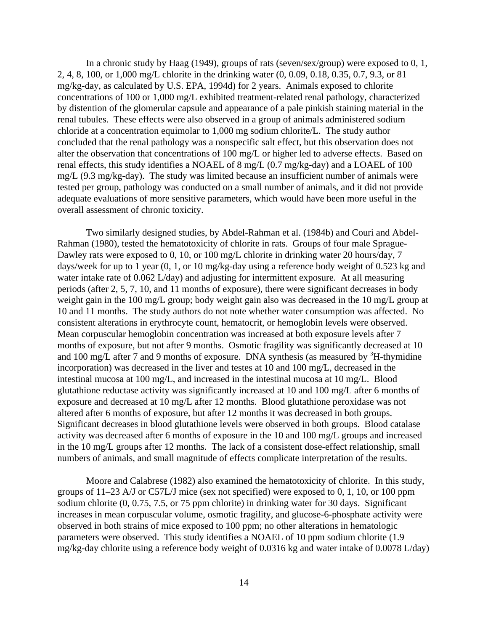In a chronic study by Haag (1949), groups of rats (seven/sex/group) were exposed to 0, 1, 2, 4, 8, 100, or 1,000 mg/L chlorite in the drinking water (0, 0.09, 0.18, 0.35, 0.7, 9.3, or 81 mg/kg-day, as calculated by U.S. EPA, 1994d) for 2 years. Animals exposed to chlorite concentrations of 100 or 1,000 mg/L exhibited treatment-related renal pathology, characterized by distention of the glomerular capsule and appearance of a pale pinkish staining material in the renal tubules. These effects were also observed in a group of animals administered sodium chloride at a concentration equimolar to 1,000 mg sodium chlorite/L. The study author concluded that the renal pathology was a nonspecific salt effect, but this observation does not alter the observation that concentrations of 100 mg/L or higher led to adverse effects. Based on renal effects, this study identifies a NOAEL of 8 mg/L (0.7 mg/kg-day) and a LOAEL of 100 mg/L (9.3 mg/kg-day). The study was limited because an insufficient number of animals were tested per group, pathology was conducted on a small number of animals, and it did not provide adequate evaluations of more sensitive parameters, which would have been more useful in the overall assessment of chronic toxicity.

Two similarly designed studies, by Abdel-Rahman et al. (1984b) and Couri and Abdel-Rahman (1980), tested the hematotoxicity of chlorite in rats. Groups of four male Sprague-Dawley rats were exposed to 0, 10, or 100 mg/L chlorite in drinking water 20 hours/day, 7 days/week for up to 1 year (0, 1, or 10 mg/kg-day using a reference body weight of 0.523 kg and water intake rate of 0.062 L/day) and adjusting for intermittent exposure. At all measuring periods (after 2, 5, 7, 10, and 11 months of exposure), there were significant decreases in body weight gain in the 100 mg/L group; body weight gain also was decreased in the 10 mg/L group at 10 and 11 months. The study authors do not note whether water consumption was affected. No consistent alterations in erythrocyte count, hematocrit, or hemoglobin levels were observed. Mean corpuscular hemoglobin concentration was increased at both exposure levels after 7 months of exposure, but not after 9 months. Osmotic fragility was significantly decreased at 10 and 100 mg/L after 7 and 9 months of exposure. DNA synthesis (as measured by  ${}^{3}$ H-thymidine incorporation) was decreased in the liver and testes at 10 and 100 mg/L, decreased in the intestinal mucosa at 100 mg/L, and increased in the intestinal mucosa at 10 mg/L. Blood glutathione reductase activity was significantly increased at 10 and 100 mg/L after 6 months of exposure and decreased at 10 mg/L after 12 months. Blood glutathione peroxidase was not altered after 6 months of exposure, but after 12 months it was decreased in both groups. Significant decreases in blood glutathione levels were observed in both groups. Blood catalase activity was decreased after 6 months of exposure in the 10 and 100 mg/L groups and increased in the 10 mg/L groups after 12 months. The lack of a consistent dose-effect relationship, small numbers of animals, and small magnitude of effects complicate interpretation of the results.

Moore and Calabrese (1982) also examined the hematotoxicity of chlorite. In this study, groups of 11–23 A/J or C57L/J mice (sex not specified) were exposed to 0, 1, 10, or 100 ppm sodium chlorite (0, 0.75, 7.5, or 75 ppm chlorite) in drinking water for 30 days. Significant increases in mean corpuscular volume, osmotic fragility, and glucose-6-phosphate activity were observed in both strains of mice exposed to 100 ppm; no other alterations in hematologic parameters were observed. This study identifies a NOAEL of 10 ppm sodium chlorite (1.9 mg/kg-day chlorite using a reference body weight of 0.0316 kg and water intake of 0.0078 L/day)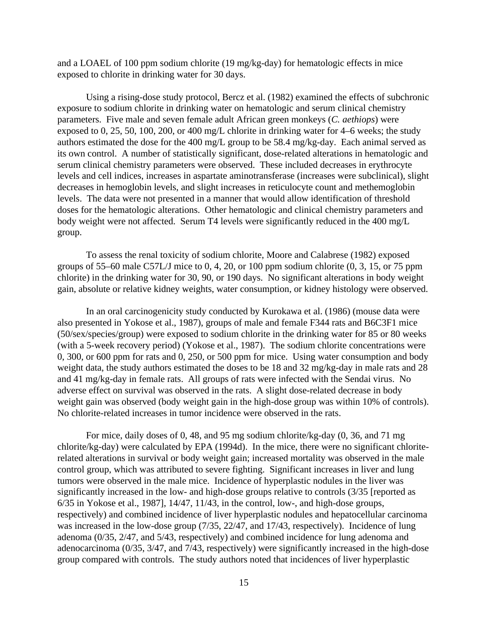and a LOAEL of 100 ppm sodium chlorite (19 mg/kg-day) for hematologic effects in mice exposed to chlorite in drinking water for 30 days.

Using a rising-dose study protocol, Bercz et al. (1982) examined the effects of subchronic exposure to sodium chlorite in drinking water on hematologic and serum clinical chemistry parameters. Five male and seven female adult African green monkeys (*C. aethiops*) were exposed to 0, 25, 50, 100, 200, or 400 mg/L chlorite in drinking water for 4–6 weeks; the study authors estimated the dose for the 400 mg/L group to be 58.4 mg/kg-day. Each animal served as its own control. A number of statistically significant, dose-related alterations in hematologic and serum clinical chemistry parameters were observed. These included decreases in erythrocyte levels and cell indices, increases in aspartate aminotransferase (increases were subclinical), slight decreases in hemoglobin levels, and slight increases in reticulocyte count and methemoglobin levels. The data were not presented in a manner that would allow identification of threshold doses for the hematologic alterations. Other hematologic and clinical chemistry parameters and body weight were not affected. Serum T4 levels were significantly reduced in the 400 mg/L group.

To assess the renal toxicity of sodium chlorite, Moore and Calabrese (1982) exposed groups of 55–60 male C57L/J mice to 0, 4, 20, or 100 ppm sodium chlorite (0, 3, 15, or 75 ppm chlorite) in the drinking water for 30, 90, or 190 days. No significant alterations in body weight gain, absolute or relative kidney weights, water consumption, or kidney histology were observed.

In an oral carcinogenicity study conducted by Kurokawa et al. (1986) (mouse data were also presented in Yokose et al., 1987), groups of male and female F344 rats and B6C3F1 mice (50/sex/species/group) were exposed to sodium chlorite in the drinking water for 85 or 80 weeks (with a 5-week recovery period) (Yokose et al., 1987). The sodium chlorite concentrations were 0, 300, or 600 ppm for rats and 0, 250, or 500 ppm for mice. Using water consumption and body weight data, the study authors estimated the doses to be 18 and 32 mg/kg-day in male rats and 28 and 41 mg/kg-day in female rats. All groups of rats were infected with the Sendai virus. No adverse effect on survival was observed in the rats. A slight dose-related decrease in body weight gain was observed (body weight gain in the high-dose group was within 10% of controls). No chlorite-related increases in tumor incidence were observed in the rats.

For mice, daily doses of 0, 48, and 95 mg sodium chlorite/kg-day (0, 36, and 71 mg chlorite/kg-day) were calculated by EPA (1994d). In the mice, there were no significant chloriterelated alterations in survival or body weight gain; increased mortality was observed in the male control group, which was attributed to severe fighting. Significant increases in liver and lung tumors were observed in the male mice. Incidence of hyperplastic nodules in the liver was significantly increased in the low- and high-dose groups relative to controls (3/35 [reported as 6/35 in Yokose et al., 1987], 14/47, 11/43, in the control, low-, and high-dose groups, respectively) and combined incidence of liver hyperplastic nodules and hepatocellular carcinoma was increased in the low-dose group (7/35, 22/47, and 17/43, respectively). Incidence of lung adenoma (0/35, 2/47, and 5/43, respectively) and combined incidence for lung adenoma and adenocarcinoma (0/35, 3/47, and 7/43, respectively) were significantly increased in the high-dose group compared with controls. The study authors noted that incidences of liver hyperplastic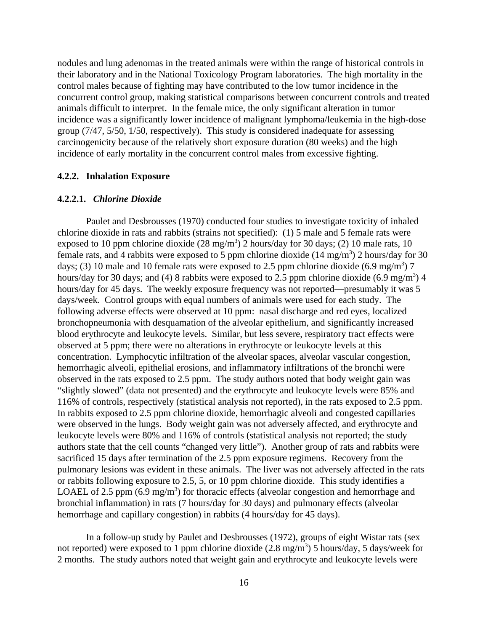nodules and lung adenomas in the treated animals were within the range of historical controls in their laboratory and in the National Toxicology Program laboratories. The high mortality in the control males because of fighting may have contributed to the low tumor incidence in the concurrent control group, making statistical comparisons between concurrent controls and treated animals difficult to interpret. In the female mice, the only significant alteration in tumor incidence was a significantly lower incidence of malignant lymphoma/leukemia in the high-dose group (7/47, 5/50, 1/50, respectively). This study is considered inadequate for assessing carcinogenicity because of the relatively short exposure duration (80 weeks) and the high incidence of early mortality in the concurrent control males from excessive fighting.

#### **4.2.2. Inhalation Exposure**

#### **4.2.2.1.** *Chlorine Dioxide*

Paulet and Desbrousses (1970) conducted four studies to investigate toxicity of inhaled chlorine dioxide in rats and rabbits (strains not specified): (1) 5 male and 5 female rats were exposed to 10 ppm chlorine dioxide  $(28 \text{ mg/m}^3)$  2 hours/day for 30 days; (2) 10 male rats, 10 female rats, and 4 rabbits were exposed to 5 ppm chlorine dioxide  $(14 \text{ mg/m}^3)$  2 hours/day for 30 days; (3) 10 male and 10 female rats were exposed to 2.5 ppm chlorine dioxide  $(6.9 \text{ mg/m}^3)$  7 hours/day for 30 days; and (4) 8 rabbits were exposed to 2.5 ppm chlorine dioxide  $(6.9 \text{ mg/m}^3)$  4 hours/day for 45 days. The weekly exposure frequency was not reported—presumably it was 5 days/week. Control groups with equal numbers of animals were used for each study. The following adverse effects were observed at 10 ppm: nasal discharge and red eyes, localized bronchopneumonia with desquamation of the alveolar epithelium, and significantly increased blood erythrocyte and leukocyte levels. Similar, but less severe, respiratory tract effects were observed at 5 ppm; there were no alterations in erythrocyte or leukocyte levels at this concentration. Lymphocytic infiltration of the alveolar spaces, alveolar vascular congestion, hemorrhagic alveoli, epithelial erosions, and inflammatory infiltrations of the bronchi were observed in the rats exposed to 2.5 ppm. The study authors noted that body weight gain was "slightly slowed" (data not presented) and the erythrocyte and leukocyte levels were 85% and 116% of controls, respectively (statistical analysis not reported), in the rats exposed to 2.5 ppm. In rabbits exposed to 2.5 ppm chlorine dioxide, hemorrhagic alveoli and congested capillaries were observed in the lungs. Body weight gain was not adversely affected, and erythrocyte and leukocyte levels were 80% and 116% of controls (statistical analysis not reported; the study authors state that the cell counts "changed very little"). Another group of rats and rabbits were sacrificed 15 days after termination of the 2.5 ppm exposure regimens. Recovery from the pulmonary lesions was evident in these animals. The liver was not adversely affected in the rats or rabbits following exposure to 2.5, 5, or 10 ppm chlorine dioxide. This study identifies a LOAEL of 2.5 ppm  $(6.9 \text{ mg/m}^3)$  for thoracic effects (alveolar congestion and hemorrhage and bronchial inflammation) in rats (7 hours/day for 30 days) and pulmonary effects (alveolar hemorrhage and capillary congestion) in rabbits (4 hours/day for 45 days).

In a follow-up study by Paulet and Desbrousses (1972), groups of eight Wistar rats (sex not reported) were exposed to 1 ppm chlorine dioxide  $(2.8 \text{ mg/m}^3)$  5 hours/day, 5 days/week for 2 months. The study authors noted that weight gain and erythrocyte and leukocyte levels were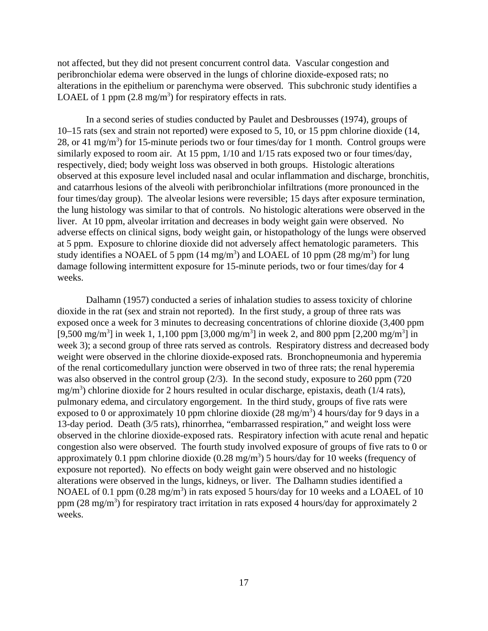not affected, but they did not present concurrent control data. Vascular congestion and peribronchiolar edema were observed in the lungs of chlorine dioxide-exposed rats; no alterations in the epithelium or parenchyma were observed. This subchronic study identifies a LOAEL of 1 ppm  $(2.8 \text{ mg/m}^3)$  for respiratory effects in rats.

In a second series of studies conducted by Paulet and Desbrousses (1974), groups of 10–15 rats (sex and strain not reported) were exposed to 5, 10, or 15 ppm chlorine dioxide (14, 28, or 41 mg/m<sup>3</sup>) for 15-minute periods two or four times/day for 1 month. Control groups were similarly exposed to room air. At 15 ppm,  $1/10$  and  $1/15$  rats exposed two or four times/day, respectively, died; body weight loss was observed in both groups. Histologic alterations observed at this exposure level included nasal and ocular inflammation and discharge, bronchitis, and catarrhous lesions of the alveoli with peribronchiolar infiltrations (more pronounced in the four times/day group). The alveolar lesions were reversible; 15 days after exposure termination, the lung histology was similar to that of controls. No histologic alterations were observed in the liver. At 10 ppm, alveolar irritation and decreases in body weight gain were observed. No adverse effects on clinical signs, body weight gain, or histopathology of the lungs were observed at 5 ppm. Exposure to chlorine dioxide did not adversely affect hematologic parameters. This study identifies a NOAEL of 5 ppm (14 mg/m<sup>3</sup>) and LOAEL of 10 ppm (28 mg/m<sup>3</sup>) for lung damage following intermittent exposure for 15-minute periods, two or four times/day for 4 weeks.

Dalhamn (1957) conducted a series of inhalation studies to assess toxicity of chlorine dioxide in the rat (sex and strain not reported). In the first study, a group of three rats was exposed once a week for 3 minutes to decreasing concentrations of chlorine dioxide (3,400 ppm [9,500 mg/m<sup>3</sup>] in week 1, 1,100 ppm [3,000 mg/m<sup>3</sup>] in week 2, and 800 ppm [2,200 mg/m<sup>3</sup>] in week 3); a second group of three rats served as controls. Respiratory distress and decreased body weight were observed in the chlorine dioxide-exposed rats. Bronchopneumonia and hyperemia of the renal corticomedullary junction were observed in two of three rats; the renal hyperemia was also observed in the control group (2/3). In the second study, exposure to 260 ppm (720  $mg/m<sup>3</sup>$ ) chlorine dioxide for 2 hours resulted in ocular discharge, epistaxis, death (1/4 rats), pulmonary edema, and circulatory engorgement. In the third study, groups of five rats were exposed to 0 or approximately 10 ppm chlorine dioxide  $(28 \text{ mg/m}^3)$  4 hours/day for 9 days in a 13-day period. Death (3/5 rats), rhinorrhea, "embarrassed respiration," and weight loss were observed in the chlorine dioxide-exposed rats. Respiratory infection with acute renal and hepatic congestion also were observed. The fourth study involved exposure of groups of five rats to 0 or approximately 0.1 ppm chlorine dioxide  $(0.28 \text{ mg/m}^3)$  5 hours/day for 10 weeks (frequency of exposure not reported). No effects on body weight gain were observed and no histologic alterations were observed in the lungs, kidneys, or liver. The Dalhamn studies identified a NOAEL of 0.1 ppm  $(0.28 \text{ mg/m}^3)$  in rats exposed 5 hours/day for 10 weeks and a LOAEL of 10 ppm  $(28 \text{ mg/m}^3)$  for respiratory tract irritation in rats exposed 4 hours/day for approximately 2 weeks.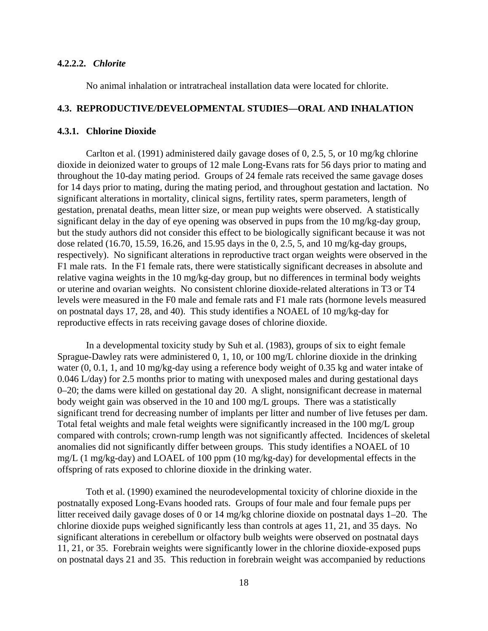#### **4.2.2.2.** *Chlorite*

No animal inhalation or intratracheal installation data were located for chlorite.

#### **4.3. REPRODUCTIVE/DEVELOPMENTAL STUDIES—ORAL AND INHALATION**

#### **4.3.1. Chlorine Dioxide**

Carlton et al. (1991) administered daily gavage doses of 0, 2.5, 5, or 10 mg/kg chlorine dioxide in deionized water to groups of 12 male Long-Evans rats for 56 days prior to mating and throughout the 10-day mating period. Groups of 24 female rats received the same gavage doses for 14 days prior to mating, during the mating period, and throughout gestation and lactation. No significant alterations in mortality, clinical signs, fertility rates, sperm parameters, length of gestation, prenatal deaths, mean litter size, or mean pup weights were observed. A statistically significant delay in the day of eye opening was observed in pups from the 10 mg/kg-day group, but the study authors did not consider this effect to be biologically significant because it was not dose related (16.70, 15.59, 16.26, and 15.95 days in the 0, 2.5, 5, and 10 mg/kg-day groups, respectively). No significant alterations in reproductive tract organ weights were observed in the F1 male rats. In the F1 female rats, there were statistically significant decreases in absolute and relative vagina weights in the 10 mg/kg-day group, but no differences in terminal body weights or uterine and ovarian weights. No consistent chlorine dioxide-related alterations in T3 or T4 levels were measured in the F0 male and female rats and F1 male rats (hormone levels measured on postnatal days 17, 28, and 40). This study identifies a NOAEL of 10 mg/kg-day for reproductive effects in rats receiving gavage doses of chlorine dioxide.

In a developmental toxicity study by Suh et al. (1983), groups of six to eight female Sprague-Dawley rats were administered 0, 1, 10, or 100 mg/L chlorine dioxide in the drinking water (0, 0.1, 1, and 10 mg/kg-day using a reference body weight of 0.35 kg and water intake of 0.046 L/day) for 2.5 months prior to mating with unexposed males and during gestational days 0–20; the dams were killed on gestational day 20. A slight, nonsignificant decrease in maternal body weight gain was observed in the 10 and 100 mg/L groups. There was a statistically significant trend for decreasing number of implants per litter and number of live fetuses per dam. Total fetal weights and male fetal weights were significantly increased in the 100 mg/L group compared with controls; crown-rump length was not significantly affected. Incidences of skeletal anomalies did not significantly differ between groups. This study identifies a NOAEL of 10 mg/L (1 mg/kg-day) and LOAEL of 100 ppm (10 mg/kg-day) for developmental effects in the offspring of rats exposed to chlorine dioxide in the drinking water.

Toth et al. (1990) examined the neurodevelopmental toxicity of chlorine dioxide in the postnatally exposed Long-Evans hooded rats. Groups of four male and four female pups per litter received daily gavage doses of 0 or 14 mg/kg chlorine dioxide on postnatal days 1–20. The chlorine dioxide pups weighed significantly less than controls at ages 11, 21, and 35 days. No significant alterations in cerebellum or olfactory bulb weights were observed on postnatal days 11, 21, or 35. Forebrain weights were significantly lower in the chlorine dioxide-exposed pups on postnatal days 21 and 35. This reduction in forebrain weight was accompanied by reductions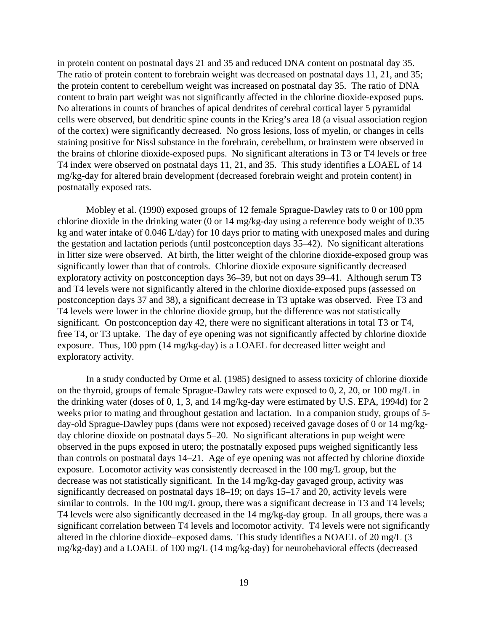in protein content on postnatal days 21 and 35 and reduced DNA content on postnatal day 35. The ratio of protein content to forebrain weight was decreased on postnatal days 11, 21, and 35; the protein content to cerebellum weight was increased on postnatal day 35. The ratio of DNA content to brain part weight was not significantly affected in the chlorine dioxide-exposed pups. No alterations in counts of branches of apical dendrites of cerebral cortical layer 5 pyramidal cells were observed, but dendritic spine counts in the Krieg's area 18 (a visual association region of the cortex) were significantly decreased. No gross lesions, loss of myelin, or changes in cells staining positive for Nissl substance in the forebrain, cerebellum, or brainstem were observed in the brains of chlorine dioxide-exposed pups. No significant alterations in T3 or T4 levels or free T4 index were observed on postnatal days 11, 21, and 35. This study identifies a LOAEL of 14 mg/kg-day for altered brain development (decreased forebrain weight and protein content) in postnatally exposed rats.

Mobley et al. (1990) exposed groups of 12 female Sprague-Dawley rats to 0 or 100 ppm chlorine dioxide in the drinking water (0 or 14 mg/kg-day using a reference body weight of 0.35 kg and water intake of 0.046 L/day) for 10 days prior to mating with unexposed males and during the gestation and lactation periods (until postconception days 35–42). No significant alterations in litter size were observed. At birth, the litter weight of the chlorine dioxide-exposed group was significantly lower than that of controls. Chlorine dioxide exposure significantly decreased exploratory activity on postconception days 36–39, but not on days 39–41. Although serum T3 and T4 levels were not significantly altered in the chlorine dioxide-exposed pups (assessed on postconception days 37 and 38), a significant decrease in T3 uptake was observed. Free T3 and T4 levels were lower in the chlorine dioxide group, but the difference was not statistically significant. On postconception day 42, there were no significant alterations in total T3 or T4, free T4, or T3 uptake. The day of eye opening was not significantly affected by chlorine dioxide exposure. Thus, 100 ppm (14 mg/kg-day) is a LOAEL for decreased litter weight and exploratory activity.

In a study conducted by Orme et al. (1985) designed to assess toxicity of chlorine dioxide on the thyroid, groups of female Sprague-Dawley rats were exposed to 0, 2, 20, or 100 mg/L in the drinking water (doses of 0, 1, 3, and 14 mg/kg-day were estimated by U.S. EPA, 1994d) for 2 weeks prior to mating and throughout gestation and lactation. In a companion study, groups of 5 day-old Sprague-Dawley pups (dams were not exposed) received gavage doses of 0 or 14 mg/kgday chlorine dioxide on postnatal days 5–20. No significant alterations in pup weight were observed in the pups exposed in utero; the postnatally exposed pups weighed significantly less than controls on postnatal days 14–21. Age of eye opening was not affected by chlorine dioxide exposure. Locomotor activity was consistently decreased in the 100 mg/L group, but the decrease was not statistically significant. In the 14 mg/kg-day gavaged group, activity was significantly decreased on postnatal days 18–19; on days 15–17 and 20, activity levels were similar to controls. In the 100 mg/L group, there was a significant decrease in T3 and T4 levels; T4 levels were also significantly decreased in the 14 mg/kg-day group. In all groups, there was a significant correlation between T4 levels and locomotor activity. T4 levels were not significantly altered in the chlorine dioxide–exposed dams. This study identifies a NOAEL of 20 mg/L (3 mg/kg-day) and a LOAEL of 100 mg/L (14 mg/kg-day) for neurobehavioral effects (decreased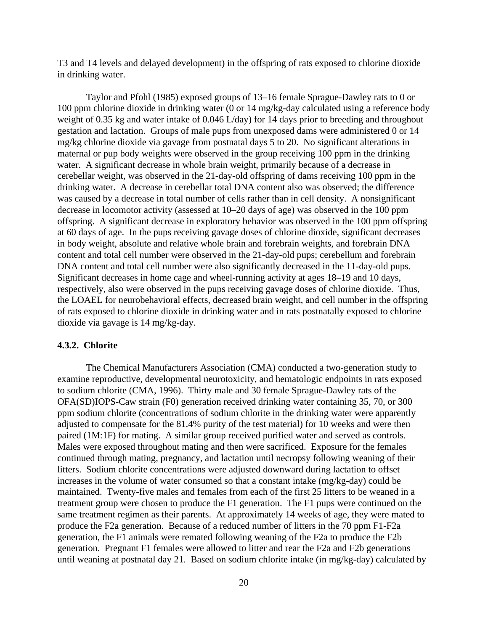T3 and T4 levels and delayed development) in the offspring of rats exposed to chlorine dioxide in drinking water.

Taylor and Pfohl (1985) exposed groups of 13–16 female Sprague-Dawley rats to 0 or 100 ppm chlorine dioxide in drinking water (0 or 14 mg/kg-day calculated using a reference body weight of 0.35 kg and water intake of 0.046 L/day) for 14 days prior to breeding and throughout gestation and lactation. Groups of male pups from unexposed dams were administered 0 or 14 mg/kg chlorine dioxide via gavage from postnatal days 5 to 20. No significant alterations in maternal or pup body weights were observed in the group receiving 100 ppm in the drinking water. A significant decrease in whole brain weight, primarily because of a decrease in cerebellar weight, was observed in the 21-day-old offspring of dams receiving 100 ppm in the drinking water. A decrease in cerebellar total DNA content also was observed; the difference was caused by a decrease in total number of cells rather than in cell density. A nonsignificant decrease in locomotor activity (assessed at 10–20 days of age) was observed in the 100 ppm offspring. A significant decrease in exploratory behavior was observed in the 100 ppm offspring at 60 days of age. In the pups receiving gavage doses of chlorine dioxide, significant decreases in body weight, absolute and relative whole brain and forebrain weights, and forebrain DNA content and total cell number were observed in the 21-day-old pups; cerebellum and forebrain DNA content and total cell number were also significantly decreased in the 11-day-old pups. Significant decreases in home cage and wheel-running activity at ages 18–19 and 10 days, respectively, also were observed in the pups receiving gavage doses of chlorine dioxide. Thus, the LOAEL for neurobehavioral effects, decreased brain weight, and cell number in the offspring of rats exposed to chlorine dioxide in drinking water and in rats postnatally exposed to chlorine dioxide via gavage is 14 mg/kg-day.

#### **4.3.2. Chlorite**

The Chemical Manufacturers Association (CMA) conducted a two-generation study to examine reproductive, developmental neurotoxicity, and hematologic endpoints in rats exposed to sodium chlorite (CMA, 1996). Thirty male and 30 female Sprague-Dawley rats of the OFA(SD)IOPS-Caw strain (F0) generation received drinking water containing 35, 70, or 300 ppm sodium chlorite (concentrations of sodium chlorite in the drinking water were apparently adjusted to compensate for the 81.4% purity of the test material) for 10 weeks and were then paired (1M:1F) for mating. A similar group received purified water and served as controls. Males were exposed throughout mating and then were sacrificed. Exposure for the females continued through mating, pregnancy, and lactation until necropsy following weaning of their litters. Sodium chlorite concentrations were adjusted downward during lactation to offset increases in the volume of water consumed so that a constant intake (mg/kg-day) could be maintained. Twenty-five males and females from each of the first 25 litters to be weaned in a treatment group were chosen to produce the F1 generation. The F1 pups were continued on the same treatment regimen as their parents. At approximately 14 weeks of age, they were mated to produce the F2a generation. Because of a reduced number of litters in the 70 ppm F1-F2a generation, the F1 animals were remated following weaning of the F2a to produce the F2b generation. Pregnant F1 females were allowed to litter and rear the F2a and F2b generations until weaning at postnatal day 21. Based on sodium chlorite intake (in mg/kg-day) calculated by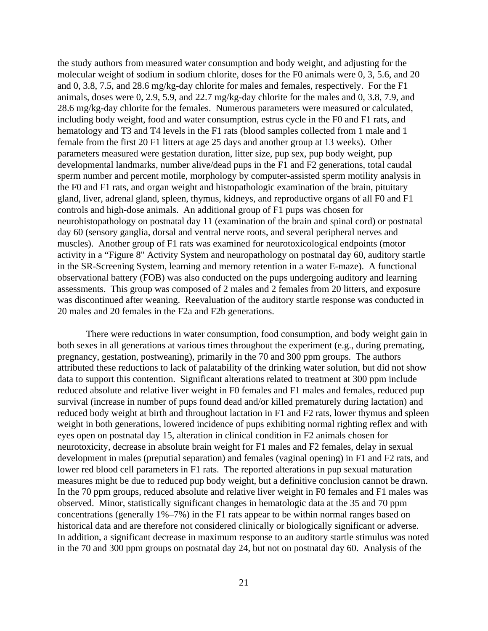the study authors from measured water consumption and body weight, and adjusting for the molecular weight of sodium in sodium chlorite, doses for the F0 animals were 0, 3, 5.6, and 20 and 0, 3.8, 7.5, and 28.6 mg/kg-day chlorite for males and females, respectively. For the F1 animals, doses were 0, 2.9, 5.9, and 22.7 mg/kg-day chlorite for the males and 0, 3.8, 7.9, and 28.6 mg/kg-day chlorite for the females. Numerous parameters were measured or calculated, including body weight, food and water consumption, estrus cycle in the F0 and F1 rats, and hematology and T3 and T4 levels in the F1 rats (blood samples collected from 1 male and 1 female from the first 20 F1 litters at age 25 days and another group at 13 weeks). Other parameters measured were gestation duration, litter size, pup sex, pup body weight, pup developmental landmarks, number alive/dead pups in the F1 and F2 generations, total caudal sperm number and percent motile, morphology by computer-assisted sperm motility analysis in the F0 and F1 rats, and organ weight and histopathologic examination of the brain, pituitary gland, liver, adrenal gland, spleen, thymus, kidneys, and reproductive organs of all F0 and F1 controls and high-dose animals. An additional group of F1 pups was chosen for neurohistopathology on postnatal day 11 (examination of the brain and spinal cord) or postnatal day 60 (sensory ganglia, dorsal and ventral nerve roots, and several peripheral nerves and muscles). Another group of F1 rats was examined for neurotoxicological endpoints (motor activity in a "Figure 8" Activity System and neuropathology on postnatal day 60, auditory startle in the SR-Screening System, learning and memory retention in a water E-maze). A functional observational battery (FOB) was also conducted on the pups undergoing auditory and learning assessments. This group was composed of 2 males and 2 females from 20 litters, and exposure was discontinued after weaning. Reevaluation of the auditory startle response was conducted in 20 males and 20 females in the F2a and F2b generations.

There were reductions in water consumption, food consumption, and body weight gain in both sexes in all generations at various times throughout the experiment (e.g., during premating, pregnancy, gestation, postweaning), primarily in the 70 and 300 ppm groups. The authors attributed these reductions to lack of palatability of the drinking water solution, but did not show data to support this contention. Significant alterations related to treatment at 300 ppm include reduced absolute and relative liver weight in F0 females and F1 males and females, reduced pup survival (increase in number of pups found dead and/or killed prematurely during lactation) and reduced body weight at birth and throughout lactation in F1 and F2 rats, lower thymus and spleen weight in both generations, lowered incidence of pups exhibiting normal righting reflex and with eyes open on postnatal day 15, alteration in clinical condition in F2 animals chosen for neurotoxicity, decrease in absolute brain weight for F1 males and F2 females, delay in sexual development in males (preputial separation) and females (vaginal opening) in F1 and F2 rats, and lower red blood cell parameters in F1 rats. The reported alterations in pup sexual maturation measures might be due to reduced pup body weight, but a definitive conclusion cannot be drawn. In the 70 ppm groups, reduced absolute and relative liver weight in F0 females and F1 males was observed. Minor, statistically significant changes in hematologic data at the 35 and 70 ppm concentrations (generally 1%–7%) in the F1 rats appear to be within normal ranges based on historical data and are therefore not considered clinically or biologically significant or adverse. In addition, a significant decrease in maximum response to an auditory startle stimulus was noted in the 70 and 300 ppm groups on postnatal day 24, but not on postnatal day 60. Analysis of the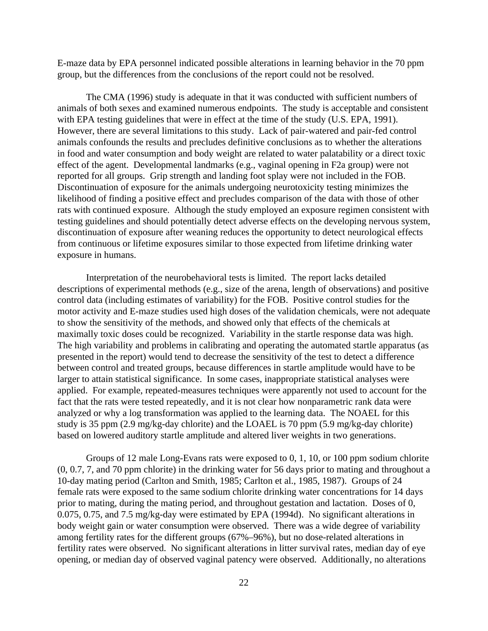E-maze data by EPA personnel indicated possible alterations in learning behavior in the 70 ppm group, but the differences from the conclusions of the report could not be resolved.

The CMA (1996) study is adequate in that it was conducted with sufficient numbers of animals of both sexes and examined numerous endpoints. The study is acceptable and consistent with EPA testing guidelines that were in effect at the time of the study (U.S. EPA, 1991). However, there are several limitations to this study. Lack of pair-watered and pair-fed control animals confounds the results and precludes definitive conclusions as to whether the alterations in food and water consumption and body weight are related to water palatability or a direct toxic effect of the agent. Developmental landmarks (e.g., vaginal opening in F2a group) were not reported for all groups. Grip strength and landing foot splay were not included in the FOB. Discontinuation of exposure for the animals undergoing neurotoxicity testing minimizes the likelihood of finding a positive effect and precludes comparison of the data with those of other rats with continued exposure. Although the study employed an exposure regimen consistent with testing guidelines and should potentially detect adverse effects on the developing nervous system, discontinuation of exposure after weaning reduces the opportunity to detect neurological effects from continuous or lifetime exposures similar to those expected from lifetime drinking water exposure in humans.

Interpretation of the neurobehavioral tests is limited. The report lacks detailed descriptions of experimental methods (e.g., size of the arena, length of observations) and positive control data (including estimates of variability) for the FOB. Positive control studies for the motor activity and E-maze studies used high doses of the validation chemicals, were not adequate to show the sensitivity of the methods, and showed only that effects of the chemicals at maximally toxic doses could be recognized. Variability in the startle response data was high. The high variability and problems in calibrating and operating the automated startle apparatus (as presented in the report) would tend to decrease the sensitivity of the test to detect a difference between control and treated groups, because differences in startle amplitude would have to be larger to attain statistical significance. In some cases, inappropriate statistical analyses were applied. For example, repeated-measures techniques were apparently not used to account for the fact that the rats were tested repeatedly, and it is not clear how nonparametric rank data were analyzed or why a log transformation was applied to the learning data. The NOAEL for this study is 35 ppm (2.9 mg/kg-day chlorite) and the LOAEL is 70 ppm (5.9 mg/kg-day chlorite) based on lowered auditory startle amplitude and altered liver weights in two generations.

Groups of 12 male Long-Evans rats were exposed to 0, 1, 10, or 100 ppm sodium chlorite (0, 0.7, 7, and 70 ppm chlorite) in the drinking water for 56 days prior to mating and throughout a 10-day mating period (Carlton and Smith, 1985; Carlton et al., 1985, 1987). Groups of 24 female rats were exposed to the same sodium chlorite drinking water concentrations for 14 days prior to mating, during the mating period, and throughout gestation and lactation. Doses of 0, 0.075, 0.75, and 7.5 mg/kg-day were estimated by EPA (1994d). No significant alterations in body weight gain or water consumption were observed. There was a wide degree of variability among fertility rates for the different groups (67%–96%), but no dose-related alterations in fertility rates were observed. No significant alterations in litter survival rates, median day of eye opening, or median day of observed vaginal patency were observed. Additionally, no alterations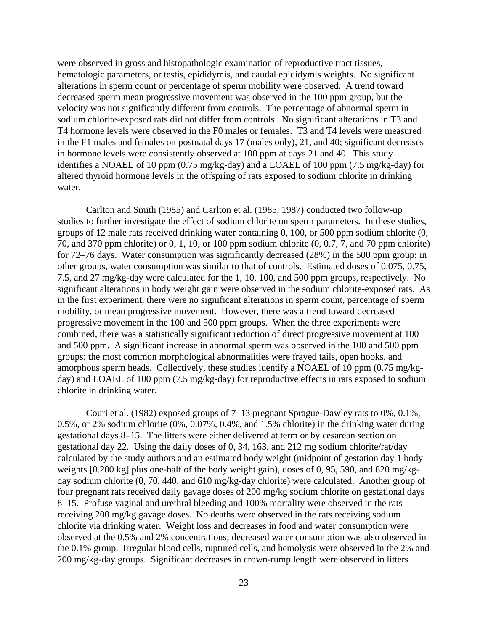were observed in gross and histopathologic examination of reproductive tract tissues, hematologic parameters, or testis, epididymis, and caudal epididymis weights. No significant alterations in sperm count or percentage of sperm mobility were observed. A trend toward decreased sperm mean progressive movement was observed in the 100 ppm group, but the velocity was not significantly different from controls. The percentage of abnormal sperm in sodium chlorite-exposed rats did not differ from controls. No significant alterations in T3 and T4 hormone levels were observed in the F0 males or females. T3 and T4 levels were measured in the F1 males and females on postnatal days 17 (males only), 21, and 40; significant decreases in hormone levels were consistently observed at 100 ppm at days 21 and 40. This study identifies a NOAEL of 10 ppm (0.75 mg/kg-day) and a LOAEL of 100 ppm (7.5 mg/kg-day) for altered thyroid hormone levels in the offspring of rats exposed to sodium chlorite in drinking water.

Carlton and Smith (1985) and Carlton et al. (1985, 1987) conducted two follow-up studies to further investigate the effect of sodium chlorite on sperm parameters. In these studies, groups of 12 male rats received drinking water containing 0, 100, or 500 ppm sodium chlorite (0, 70, and 370 ppm chlorite) or 0, 1, 10, or 100 ppm sodium chlorite (0, 0.7, 7, and 70 ppm chlorite) for 72–76 days. Water consumption was significantly decreased (28%) in the 500 ppm group; in other groups, water consumption was similar to that of controls. Estimated doses of 0.075, 0.75, 7.5, and 27 mg/kg-day were calculated for the 1, 10, 100, and 500 ppm groups, respectively. No significant alterations in body weight gain were observed in the sodium chlorite-exposed rats. As in the first experiment, there were no significant alterations in sperm count, percentage of sperm mobility, or mean progressive movement. However, there was a trend toward decreased progressive movement in the 100 and 500 ppm groups. When the three experiments were combined, there was a statistically significant reduction of direct progressive movement at 100 and 500 ppm. A significant increase in abnormal sperm was observed in the 100 and 500 ppm groups; the most common morphological abnormalities were frayed tails, open hooks, and amorphous sperm heads. Collectively, these studies identify a NOAEL of 10 ppm (0.75 mg/kgday) and LOAEL of 100 ppm (7.5 mg/kg-day) for reproductive effects in rats exposed to sodium chlorite in drinking water.

Couri et al. (1982) exposed groups of 7–13 pregnant Sprague-Dawley rats to 0%, 0.1%, 0.5%, or 2% sodium chlorite (0%, 0.07%, 0.4%, and 1.5% chlorite) in the drinking water during gestational days 8–15. The litters were either delivered at term or by cesarean section on gestational day 22. Using the daily doses of 0, 34, 163, and 212 mg sodium chlorite/rat/day calculated by the study authors and an estimated body weight (midpoint of gestation day 1 body weights [0.280 kg] plus one-half of the body weight gain), doses of 0, 95, 590, and 820 mg/kgday sodium chlorite (0, 70, 440, and 610 mg/kg-day chlorite) were calculated. Another group of four pregnant rats received daily gavage doses of 200 mg/kg sodium chlorite on gestational days 8–15. Profuse vaginal and urethral bleeding and 100% mortality were observed in the rats receiving 200 mg/kg gavage doses. No deaths were observed in the rats receiving sodium chlorite via drinking water. Weight loss and decreases in food and water consumption were observed at the 0.5% and 2% concentrations; decreased water consumption was also observed in the 0.1% group. Irregular blood cells, ruptured cells, and hemolysis were observed in the 2% and 200 mg/kg-day groups. Significant decreases in crown-rump length were observed in litters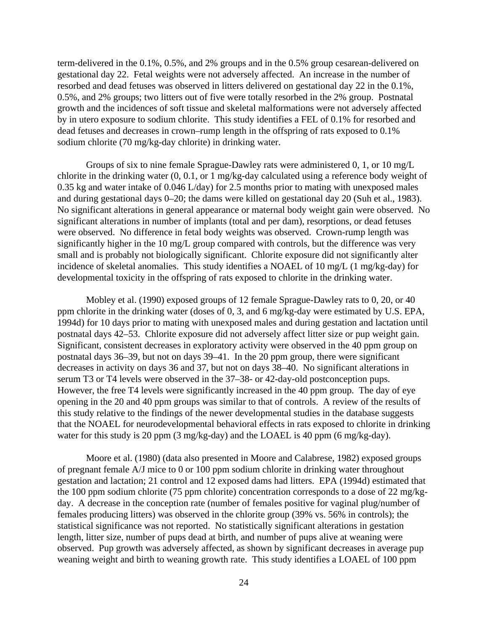term-delivered in the 0.1%, 0.5%, and 2% groups and in the 0.5% group cesarean-delivered on gestational day 22. Fetal weights were not adversely affected. An increase in the number of resorbed and dead fetuses was observed in litters delivered on gestational day 22 in the 0.1%, 0.5%, and 2% groups; two litters out of five were totally resorbed in the 2% group. Postnatal growth and the incidences of soft tissue and skeletal malformations were not adversely affected by in utero exposure to sodium chlorite. This study identifies a FEL of 0.1% for resorbed and dead fetuses and decreases in crown–rump length in the offspring of rats exposed to 0.1% sodium chlorite (70 mg/kg-day chlorite) in drinking water.

Groups of six to nine female Sprague-Dawley rats were administered 0, 1, or 10 mg/L chlorite in the drinking water (0, 0.1, or 1 mg/kg-day calculated using a reference body weight of 0.35 kg and water intake of 0.046 L/day) for 2.5 months prior to mating with unexposed males and during gestational days 0–20; the dams were killed on gestational day 20 (Suh et al., 1983). No significant alterations in general appearance or maternal body weight gain were observed. No significant alterations in number of implants (total and per dam), resorptions, or dead fetuses were observed. No difference in fetal body weights was observed. Crown-rump length was significantly higher in the 10 mg/L group compared with controls, but the difference was very small and is probably not biologically significant. Chlorite exposure did not significantly alter incidence of skeletal anomalies. This study identifies a NOAEL of 10 mg/L (1 mg/kg-day) for developmental toxicity in the offspring of rats exposed to chlorite in the drinking water.

Mobley et al. (1990) exposed groups of 12 female Sprague-Dawley rats to 0, 20, or 40 ppm chlorite in the drinking water (doses of 0, 3, and 6 mg/kg-day were estimated by U.S. EPA, 1994d) for 10 days prior to mating with unexposed males and during gestation and lactation until postnatal days 42–53. Chlorite exposure did not adversely affect litter size or pup weight gain. Significant, consistent decreases in exploratory activity were observed in the 40 ppm group on postnatal days 36–39, but not on days 39–41. In the 20 ppm group, there were significant decreases in activity on days 36 and 37, but not on days 38–40. No significant alterations in serum T3 or T4 levels were observed in the 37–38- or 42-day-old postconception pups. However, the free T4 levels were significantly increased in the 40 ppm group. The day of eye opening in the 20 and 40 ppm groups was similar to that of controls. A review of the results of this study relative to the findings of the newer developmental studies in the database suggests that the NOAEL for neurodevelopmental behavioral effects in rats exposed to chlorite in drinking water for this study is 20 ppm (3 mg/kg-day) and the LOAEL is 40 ppm (6 mg/kg-day).

Moore et al. (1980) (data also presented in Moore and Calabrese, 1982) exposed groups of pregnant female A/J mice to 0 or 100 ppm sodium chlorite in drinking water throughout gestation and lactation; 21 control and 12 exposed dams had litters. EPA (1994d) estimated that the 100 ppm sodium chlorite (75 ppm chlorite) concentration corresponds to a dose of 22 mg/kgday. A decrease in the conception rate (number of females positive for vaginal plug/number of females producing litters) was observed in the chlorite group (39% vs. 56% in controls); the statistical significance was not reported. No statistically significant alterations in gestation length, litter size, number of pups dead at birth, and number of pups alive at weaning were observed. Pup growth was adversely affected, as shown by significant decreases in average pup weaning weight and birth to weaning growth rate. This study identifies a LOAEL of 100 ppm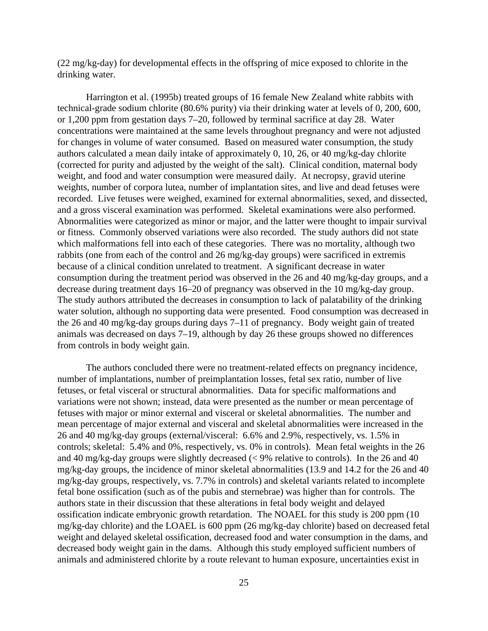(22 mg/kg-day) for developmental effects in the offspring of mice exposed to chlorite in the drinking water.

Harrington et al. (1995b) treated groups of 16 female New Zealand white rabbits with technical-grade sodium chlorite (80.6% purity) via their drinking water at levels of 0, 200, 600, or 1,200 ppm from gestation days 7–20, followed by terminal sacrifice at day 28. Water concentrations were maintained at the same levels throughout pregnancy and were not adjusted for changes in volume of water consumed. Based on measured water consumption, the study authors calculated a mean daily intake of approximately 0, 10, 26, or 40 mg/kg-day chlorite (corrected for purity and adjusted by the weight of the salt). Clinical condition, maternal body weight, and food and water consumption were measured daily. At necropsy, gravid uterine weights, number of corpora lutea, number of implantation sites, and live and dead fetuses were recorded. Live fetuses were weighed, examined for external abnormalities, sexed, and dissected, and a gross visceral examination was performed. Skeletal examinations were also performed. Abnormalities were categorized as minor or major, and the latter were thought to impair survival or fitness. Commonly observed variations were also recorded. The study authors did not state which malformations fell into each of these categories. There was no mortality, although two rabbits (one from each of the control and 26 mg/kg-day groups) were sacrificed in extremis because of a clinical condition unrelated to treatment. A significant decrease in water consumption during the treatment period was observed in the 26 and 40 mg/kg-day groups, and a decrease during treatment days 16–20 of pregnancy was observed in the 10 mg/kg-day group. The study authors attributed the decreases in consumption to lack of palatability of the drinking water solution, although no supporting data were presented. Food consumption was decreased in the 26 and 40 mg/kg-day groups during days 7–11 of pregnancy. Body weight gain of treated animals was decreased on days 7–19, although by day 26 these groups showed no differences from controls in body weight gain.

The authors concluded there were no treatment-related effects on pregnancy incidence, number of implantations, number of preimplantation losses, fetal sex ratio, number of live fetuses, or fetal visceral or structural abnormalities. Data for specific malformations and variations were not shown; instead, data were presented as the number or mean percentage of fetuses with major or minor external and visceral or skeletal abnormalities. The number and mean percentage of major external and visceral and skeletal abnormalities were increased in the 26 and 40 mg/kg-day groups (external/visceral: 6.6% and 2.9%, respectively, vs. 1.5% in controls; skeletal: 5.4% and 0%, respectively, vs. 0% in controls). Mean fetal weights in the 26 and 40 mg/kg-day groups were slightly decreased  $\ll$  9% relative to controls). In the 26 and 40 mg/kg-day groups, the incidence of minor skeletal abnormalities (13.9 and 14.2 for the 26 and 40 mg/kg-day groups, respectively, vs. 7.7% in controls) and skeletal variants related to incomplete fetal bone ossification (such as of the pubis and sternebrae) was higher than for controls. The authors state in their discussion that these alterations in fetal body weight and delayed ossification indicate embryonic growth retardation. The NOAEL for this study is 200 ppm (10 mg/kg-day chlorite) and the LOAEL is 600 ppm (26 mg/kg-day chlorite) based on decreased fetal weight and delayed skeletal ossification, decreased food and water consumption in the dams, and decreased body weight gain in the dams. Although this study employed sufficient numbers of animals and administered chlorite by a route relevant to human exposure, uncertainties exist in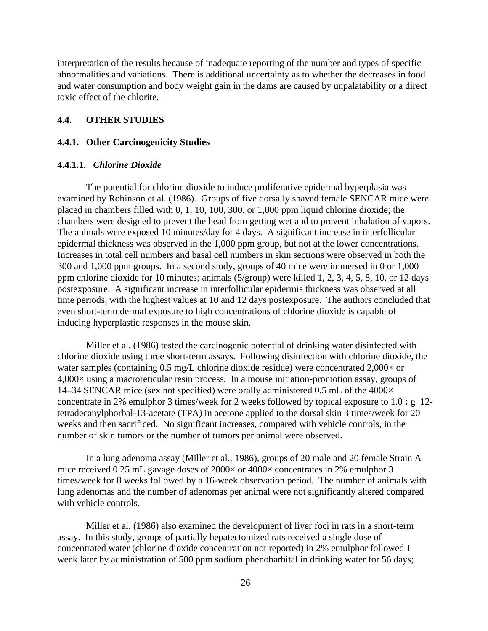interpretation of the results because of inadequate reporting of the number and types of specific abnormalities and variations. There is additional uncertainty as to whether the decreases in food and water consumption and body weight gain in the dams are caused by unpalatability or a direct toxic effect of the chlorite.

# **4.4. OTHER STUDIES**

#### **4.4.1. Other Carcinogenicity Studies**

#### **4.4.1.1.** *Chlorine Dioxide*

The potential for chlorine dioxide to induce proliferative epidermal hyperplasia was examined by Robinson et al. (1986). Groups of five dorsally shaved female SENCAR mice were placed in chambers filled with 0, 1, 10, 100, 300, or 1,000 ppm liquid chlorine dioxide; the chambers were designed to prevent the head from getting wet and to prevent inhalation of vapors. The animals were exposed 10 minutes/day for 4 days. A significant increase in interfollicular epidermal thickness was observed in the 1,000 ppm group, but not at the lower concentrations. Increases in total cell numbers and basal cell numbers in skin sections were observed in both the 300 and 1,000 ppm groups. In a second study, groups of 40 mice were immersed in 0 or 1,000 ppm chlorine dioxide for 10 minutes; animals (5/group) were killed 1, 2, 3, 4, 5, 8, 10, or 12 days postexposure. A significant increase in interfollicular epidermis thickness was observed at all time periods, with the highest values at 10 and 12 days postexposure. The authors concluded that even short-term dermal exposure to high concentrations of chlorine dioxide is capable of inducing hyperplastic responses in the mouse skin.

Miller et al. (1986) tested the carcinogenic potential of drinking water disinfected with chlorine dioxide using three short-term assays. Following disinfection with chlorine dioxide, the water samples (containing 0.5 mg/L chlorine dioxide residue) were concentrated 2,000 $\times$  or 4,000× using a macroreticular resin process. In a mouse initiation-promotion assay, groups of 14–34 SENCAR mice (sex not specified) were orally administered 0.5 mL of the 4000× concentrate in 2% emulphor 3 times/week for 2 weeks followed by topical exposure to  $1.0 : g$  12tetradecanylphorbal-13-acetate (TPA) in acetone applied to the dorsal skin 3 times/week for 20 weeks and then sacrificed. No significant increases, compared with vehicle controls, in the number of skin tumors or the number of tumors per animal were observed.

In a lung adenoma assay (Miller et al., 1986), groups of 20 male and 20 female Strain A mice received 0.25 mL gavage doses of  $2000 \times$  or  $4000 \times$  concentrates in 2% emulphor 3 times/week for 8 weeks followed by a 16-week observation period. The number of animals with lung adenomas and the number of adenomas per animal were not significantly altered compared with vehicle controls.

Miller et al. (1986) also examined the development of liver foci in rats in a short-term assay. In this study, groups of partially hepatectomized rats received a single dose of concentrated water (chlorine dioxide concentration not reported) in 2% emulphor followed 1 week later by administration of 500 ppm sodium phenobarbital in drinking water for 56 days;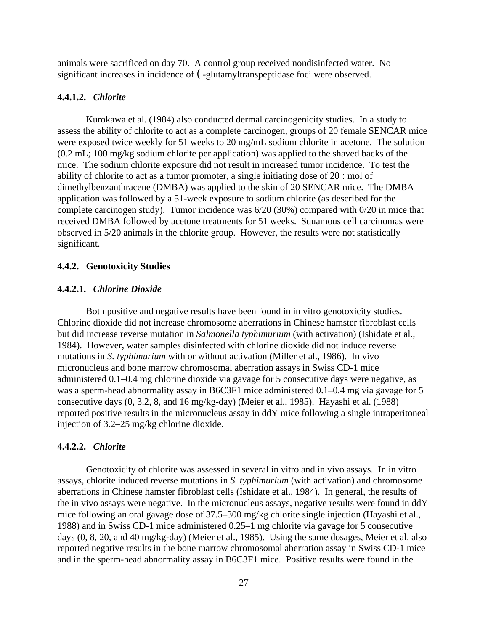animals were sacrificed on day 70. A control group received nondisinfected water. No significant increases in incidence of (-glutamyltranspeptidase foci were observed.

#### **4.4.1.2.** *Chlorite*

Kurokawa et al. (1984) also conducted dermal carcinogenicity studies. In a study to assess the ability of chlorite to act as a complete carcinogen, groups of 20 female SENCAR mice were exposed twice weekly for 51 weeks to 20 mg/mL sodium chlorite in acetone. The solution (0.2 mL; 100 mg/kg sodium chlorite per application) was applied to the shaved backs of the mice. The sodium chlorite exposure did not result in increased tumor incidence. To test the ability of chlorite to act as a tumor promoter, a single initiating dose of  $20$ : mol of dimethylbenzanthracene (DMBA) was applied to the skin of 20 SENCAR mice. The DMBA application was followed by a 51-week exposure to sodium chlorite (as described for the complete carcinogen study). Tumor incidence was 6/20 (30%) compared with 0/20 in mice that received DMBA followed by acetone treatments for 51 weeks. Squamous cell carcinomas were observed in 5/20 animals in the chlorite group. However, the results were not statistically significant.

#### **4.4.2. Genotoxicity Studies**

# **4.4.2.1.** *Chlorine Dioxide*

Both positive and negative results have been found in in vitro genotoxicity studies. Chlorine dioxide did not increase chromosome aberrations in Chinese hamster fibroblast cells but did increase reverse mutation in *Salmonella typhimurium* (with activation) (Ishidate et al., 1984). However, water samples disinfected with chlorine dioxide did not induce reverse mutations in *S. typhimurium* with or without activation (Miller et al., 1986). In vivo micronucleus and bone marrow chromosomal aberration assays in Swiss CD-1 mice administered 0.1–0.4 mg chlorine dioxide via gavage for 5 consecutive days were negative, as was a sperm-head abnormality assay in B6C3F1 mice administered 0.1–0.4 mg via gavage for 5 consecutive days (0, 3.2, 8, and 16 mg/kg-day) (Meier et al., 1985). Hayashi et al. (1988) reported positive results in the micronucleus assay in ddY mice following a single intraperitoneal injection of 3.2–25 mg/kg chlorine dioxide.

# **4.4.2.2.** *Chlorite*

Genotoxicity of chlorite was assessed in several in vitro and in vivo assays. In in vitro assays, chlorite induced reverse mutations in *S. typhimurium* (with activation) and chromosome aberrations in Chinese hamster fibroblast cells (Ishidate et al., 1984). In general, the results of the in vivo assays were negative. In the micronucleus assays, negative results were found in ddY mice following an oral gavage dose of 37.5–300 mg/kg chlorite single injection (Hayashi et al., 1988) and in Swiss CD-1 mice administered 0.25–1 mg chlorite via gavage for 5 consecutive days (0, 8, 20, and 40 mg/kg-day) (Meier et al., 1985). Using the same dosages, Meier et al. also reported negative results in the bone marrow chromosomal aberration assay in Swiss CD-1 mice and in the sperm-head abnormality assay in B6C3F1 mice. Positive results were found in the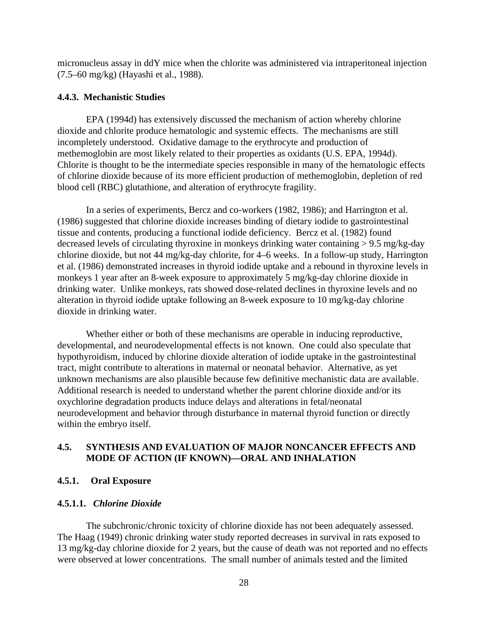micronucleus assay in ddY mice when the chlorite was administered via intraperitoneal injection (7.5–60 mg/kg) (Hayashi et al., 1988).

#### **4.4.3. Mechanistic Studies**

EPA (1994d) has extensively discussed the mechanism of action whereby chlorine dioxide and chlorite produce hematologic and systemic effects. The mechanisms are still incompletely understood. Oxidative damage to the erythrocyte and production of methemoglobin are most likely related to their properties as oxidants (U.S. EPA, 1994d). Chlorite is thought to be the intermediate species responsible in many of the hematologic effects of chlorine dioxide because of its more efficient production of methemoglobin, depletion of red blood cell (RBC) glutathione, and alteration of erythrocyte fragility.

In a series of experiments, Bercz and co-workers (1982, 1986); and Harrington et al. (1986) suggested that chlorine dioxide increases binding of dietary iodide to gastrointestinal tissue and contents, producing a functional iodide deficiency. Bercz et al. (1982) found decreased levels of circulating thyroxine in monkeys drinking water containing > 9.5 mg/kg-day chlorine dioxide, but not 44 mg/kg-day chlorite, for 4–6 weeks. In a follow-up study, Harrington et al. (1986) demonstrated increases in thyroid iodide uptake and a rebound in thyroxine levels in monkeys 1 year after an 8-week exposure to approximately 5 mg/kg-day chlorine dioxide in drinking water. Unlike monkeys, rats showed dose-related declines in thyroxine levels and no alteration in thyroid iodide uptake following an 8-week exposure to 10 mg/kg-day chlorine dioxide in drinking water.

Whether either or both of these mechanisms are operable in inducing reproductive, developmental, and neurodevelopmental effects is not known. One could also speculate that hypothyroidism, induced by chlorine dioxide alteration of iodide uptake in the gastrointestinal tract, might contribute to alterations in maternal or neonatal behavior. Alternative, as yet unknown mechanisms are also plausible because few definitive mechanistic data are available. Additional research is needed to understand whether the parent chlorine dioxide and/or its oxychlorine degradation products induce delays and alterations in fetal/neonatal neurodevelopment and behavior through disturbance in maternal thyroid function or directly within the embryo itself.

# **4.5. SYNTHESIS AND EVALUATION OF MAJOR NONCANCER EFFECTS AND MODE OF ACTION (IF KNOWN)—ORAL AND INHALATION**

#### **4.5.1. Oral Exposure**

#### **4.5.1.1.** *Chlorine Dioxide*

The subchronic/chronic toxicity of chlorine dioxide has not been adequately assessed. The Haag (1949) chronic drinking water study reported decreases in survival in rats exposed to 13 mg/kg-day chlorine dioxide for 2 years, but the cause of death was not reported and no effects were observed at lower concentrations. The small number of animals tested and the limited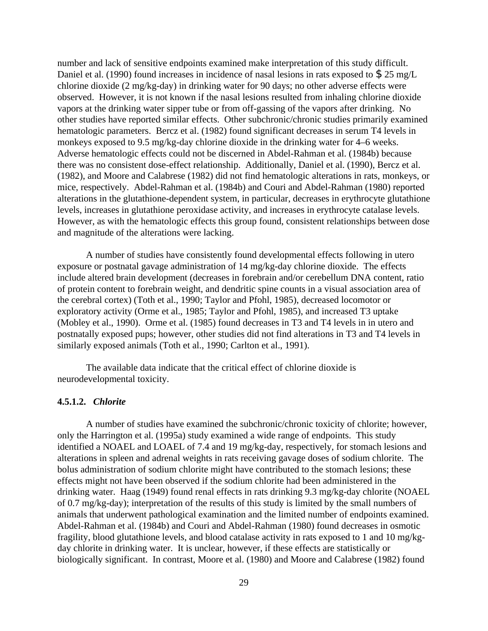number and lack of sensitive endpoints examined make interpretation of this study difficult. Daniel et al. (1990) found increases in incidence of nasal lesions in rats exposed to \$25 mg/L chlorine dioxide (2 mg/kg-day) in drinking water for 90 days; no other adverse effects were observed. However, it is not known if the nasal lesions resulted from inhaling chlorine dioxide vapors at the drinking water sipper tube or from off-gassing of the vapors after drinking. No other studies have reported similar effects. Other subchronic/chronic studies primarily examined hematologic parameters. Bercz et al. (1982) found significant decreases in serum T4 levels in monkeys exposed to 9.5 mg/kg-day chlorine dioxide in the drinking water for 4–6 weeks. Adverse hematologic effects could not be discerned in Abdel-Rahman et al. (1984b) because there was no consistent dose-effect relationship. Additionally, Daniel et al. (1990), Bercz et al. (1982), and Moore and Calabrese (1982) did not find hematologic alterations in rats, monkeys, or mice, respectively. Abdel-Rahman et al. (1984b) and Couri and Abdel-Rahman (1980) reported alterations in the glutathione-dependent system, in particular, decreases in erythrocyte glutathione levels, increases in glutathione peroxidase activity, and increases in erythrocyte catalase levels. However, as with the hematologic effects this group found, consistent relationships between dose and magnitude of the alterations were lacking.

A number of studies have consistently found developmental effects following in utero exposure or postnatal gavage administration of 14 mg/kg-day chlorine dioxide. The effects include altered brain development (decreases in forebrain and/or cerebellum DNA content, ratio of protein content to forebrain weight, and dendritic spine counts in a visual association area of the cerebral cortex) (Toth et al., 1990; Taylor and Pfohl, 1985), decreased locomotor or exploratory activity (Orme et al., 1985; Taylor and Pfohl, 1985), and increased T3 uptake (Mobley et al., 1990). Orme et al. (1985) found decreases in T3 and T4 levels in in utero and postnatally exposed pups; however, other studies did not find alterations in T3 and T4 levels in similarly exposed animals (Toth et al., 1990; Carlton et al., 1991).

The available data indicate that the critical effect of chlorine dioxide is neurodevelopmental toxicity.

#### **4.5.1.2.** *Chlorite*

A number of studies have examined the subchronic/chronic toxicity of chlorite; however, only the Harrington et al. (1995a) study examined a wide range of endpoints. This study identified a NOAEL and LOAEL of 7.4 and 19 mg/kg-day, respectively, for stomach lesions and alterations in spleen and adrenal weights in rats receiving gavage doses of sodium chlorite. The bolus administration of sodium chlorite might have contributed to the stomach lesions; these effects might not have been observed if the sodium chlorite had been administered in the drinking water. Haag (1949) found renal effects in rats drinking 9.3 mg/kg-day chlorite (NOAEL of 0.7 mg/kg-day); interpretation of the results of this study is limited by the small numbers of animals that underwent pathological examination and the limited number of endpoints examined. Abdel-Rahman et al. (1984b) and Couri and Abdel-Rahman (1980) found decreases in osmotic fragility, blood glutathione levels, and blood catalase activity in rats exposed to 1 and 10 mg/kgday chlorite in drinking water. It is unclear, however, if these effects are statistically or biologically significant. In contrast, Moore et al. (1980) and Moore and Calabrese (1982) found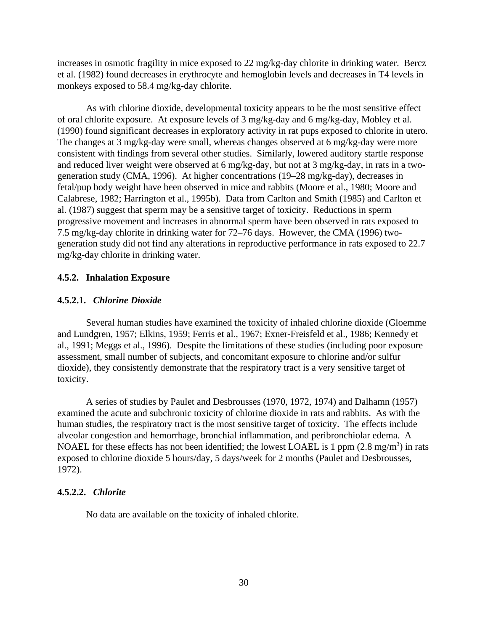increases in osmotic fragility in mice exposed to 22 mg/kg-day chlorite in drinking water. Bercz et al. (1982) found decreases in erythrocyte and hemoglobin levels and decreases in T4 levels in monkeys exposed to 58.4 mg/kg-day chlorite.

As with chlorine dioxide, developmental toxicity appears to be the most sensitive effect of oral chlorite exposure. At exposure levels of 3 mg/kg-day and 6 mg/kg-day, Mobley et al. (1990) found significant decreases in exploratory activity in rat pups exposed to chlorite in utero. The changes at 3 mg/kg-day were small, whereas changes observed at 6 mg/kg-day were more consistent with findings from several other studies. Similarly, lowered auditory startle response and reduced liver weight were observed at 6 mg/kg-day, but not at 3 mg/kg-day, in rats in a twogeneration study (CMA, 1996). At higher concentrations (19–28 mg/kg-day), decreases in fetal/pup body weight have been observed in mice and rabbits (Moore et al., 1980; Moore and Calabrese, 1982; Harrington et al., 1995b). Data from Carlton and Smith (1985) and Carlton et al. (1987) suggest that sperm may be a sensitive target of toxicity. Reductions in sperm progressive movement and increases in abnormal sperm have been observed in rats exposed to 7.5 mg/kg-day chlorite in drinking water for 72–76 days. However, the CMA (1996) twogeneration study did not find any alterations in reproductive performance in rats exposed to 22.7 mg/kg-day chlorite in drinking water.

#### **4.5.2. Inhalation Exposure**

#### **4.5.2.1.** *Chlorine Dioxide*

Several human studies have examined the toxicity of inhaled chlorine dioxide (Gloemme and Lundgren, 1957; Elkins, 1959; Ferris et al., 1967; Exner-Freisfeld et al., 1986; Kennedy et al., 1991; Meggs et al., 1996). Despite the limitations of these studies (including poor exposure assessment, small number of subjects, and concomitant exposure to chlorine and/or sulfur dioxide), they consistently demonstrate that the respiratory tract is a very sensitive target of toxicity.

A series of studies by Paulet and Desbrousses (1970, 1972, 1974) and Dalhamn (1957) examined the acute and subchronic toxicity of chlorine dioxide in rats and rabbits. As with the human studies, the respiratory tract is the most sensitive target of toxicity. The effects include alveolar congestion and hemorrhage, bronchial inflammation, and peribronchiolar edema. A NOAEL for these effects has not been identified; the lowest LOAEL is 1 ppm  $(2.8 \text{ mg/m}^3)$  in rats exposed to chlorine dioxide 5 hours/day, 5 days/week for 2 months (Paulet and Desbrousses, 1972).

#### **4.5.2.2.** *Chlorite*

No data are available on the toxicity of inhaled chlorite.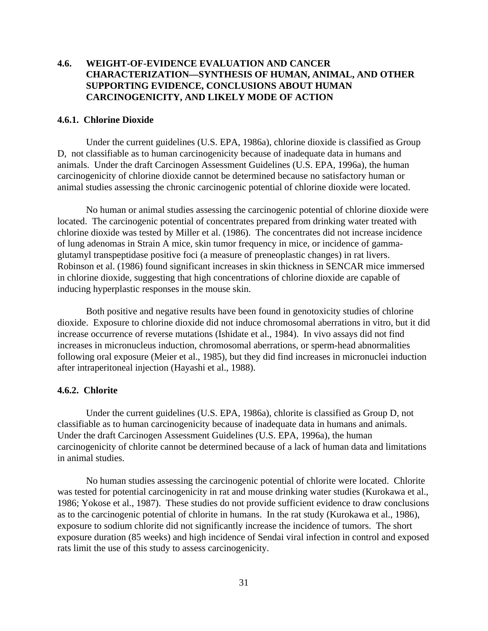# **4.6. WEIGHT-OF-EVIDENCE EVALUATION AND CANCER CHARACTERIZATION—SYNTHESIS OF HUMAN, ANIMAL, AND OTHER SUPPORTING EVIDENCE, CONCLUSIONS ABOUT HUMAN CARCINOGENICITY, AND LIKELY MODE OF ACTION**

#### **4.6.1. Chlorine Dioxide**

Under the current guidelines (U.S. EPA, 1986a), chlorine dioxide is classified as Group D, not classifiable as to human carcinogenicity because of inadequate data in humans and animals. Under the draft Carcinogen Assessment Guidelines (U.S. EPA, 1996a), the human carcinogenicity of chlorine dioxide cannot be determined because no satisfactory human or animal studies assessing the chronic carcinogenic potential of chlorine dioxide were located.

No human or animal studies assessing the carcinogenic potential of chlorine dioxide were located. The carcinogenic potential of concentrates prepared from drinking water treated with chlorine dioxide was tested by Miller et al. (1986). The concentrates did not increase incidence of lung adenomas in Strain A mice, skin tumor frequency in mice, or incidence of gammaglutamyl transpeptidase positive foci (a measure of preneoplastic changes) in rat livers. Robinson et al. (1986) found significant increases in skin thickness in SENCAR mice immersed in chlorine dioxide, suggesting that high concentrations of chlorine dioxide are capable of inducing hyperplastic responses in the mouse skin.

Both positive and negative results have been found in genotoxicity studies of chlorine dioxide. Exposure to chlorine dioxide did not induce chromosomal aberrations in vitro, but it did increase occurrence of reverse mutations (Ishidate et al., 1984). In vivo assays did not find increases in micronucleus induction, chromosomal aberrations, or sperm-head abnormalities following oral exposure (Meier et al., 1985), but they did find increases in micronuclei induction after intraperitoneal injection (Hayashi et al., 1988).

#### **4.6.2. Chlorite**

Under the current guidelines (U.S. EPA, 1986a), chlorite is classified as Group D, not classifiable as to human carcinogenicity because of inadequate data in humans and animals. Under the draft Carcinogen Assessment Guidelines (U.S. EPA, 1996a), the human carcinogenicity of chlorite cannot be determined because of a lack of human data and limitations in animal studies.

No human studies assessing the carcinogenic potential of chlorite were located. Chlorite was tested for potential carcinogenicity in rat and mouse drinking water studies (Kurokawa et al., 1986; Yokose et al., 1987). These studies do not provide sufficient evidence to draw conclusions as to the carcinogenic potential of chlorite in humans. In the rat study (Kurokawa et al., 1986), exposure to sodium chlorite did not significantly increase the incidence of tumors. The short exposure duration (85 weeks) and high incidence of Sendai viral infection in control and exposed rats limit the use of this study to assess carcinogenicity.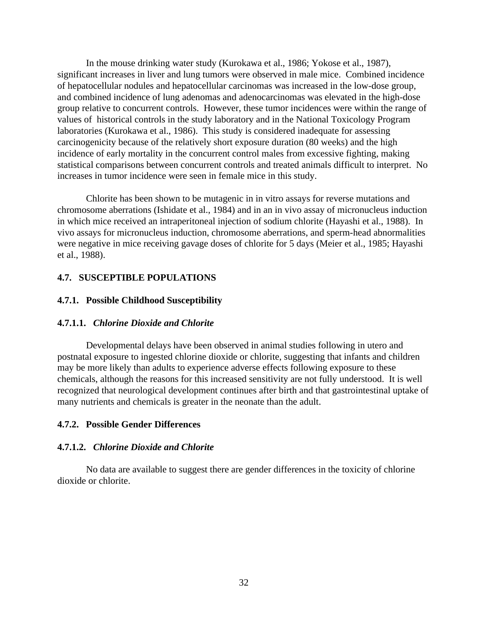In the mouse drinking water study (Kurokawa et al., 1986; Yokose et al., 1987), significant increases in liver and lung tumors were observed in male mice. Combined incidence of hepatocellular nodules and hepatocellular carcinomas was increased in the low-dose group, and combined incidence of lung adenomas and adenocarcinomas was elevated in the high-dose group relative to concurrent controls. However, these tumor incidences were within the range of values of historical controls in the study laboratory and in the National Toxicology Program laboratories (Kurokawa et al., 1986). This study is considered inadequate for assessing carcinogenicity because of the relatively short exposure duration (80 weeks) and the high incidence of early mortality in the concurrent control males from excessive fighting, making statistical comparisons between concurrent controls and treated animals difficult to interpret. No increases in tumor incidence were seen in female mice in this study.

Chlorite has been shown to be mutagenic in in vitro assays for reverse mutations and chromosome aberrations (Ishidate et al., 1984) and in an in vivo assay of micronucleus induction in which mice received an intraperitoneal injection of sodium chlorite (Hayashi et al., 1988). In vivo assays for micronucleus induction, chromosome aberrations, and sperm-head abnormalities were negative in mice receiving gavage doses of chlorite for 5 days (Meier et al., 1985; Hayashi et al., 1988).

#### **4.7. SUSCEPTIBLE POPULATIONS**

#### **4.7.1. Possible Childhood Susceptibility**

#### **4.7.1.1.** *Chlorine Dioxide and Chlorite*

Developmental delays have been observed in animal studies following in utero and postnatal exposure to ingested chlorine dioxide or chlorite, suggesting that infants and children may be more likely than adults to experience adverse effects following exposure to these chemicals, although the reasons for this increased sensitivity are not fully understood. It is well recognized that neurological development continues after birth and that gastrointestinal uptake of many nutrients and chemicals is greater in the neonate than the adult.

#### **4.7.2. Possible Gender Differences**

# **4.7.1.2.** *Chlorine Dioxide and Chlorite*

No data are available to suggest there are gender differences in the toxicity of chlorine dioxide or chlorite.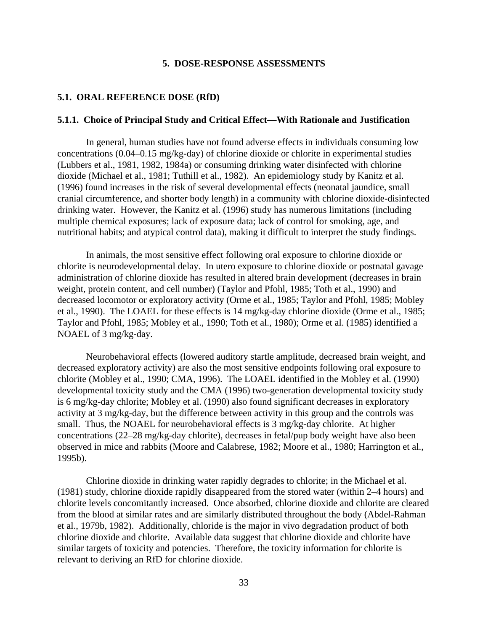#### **5. DOSE-RESPONSE ASSESSMENTS**

#### **5.1. ORAL REFERENCE DOSE (RfD)**

#### **5.1.1. Choice of Principal Study and Critical Effect—With Rationale and Justification**

In general, human studies have not found adverse effects in individuals consuming low concentrations (0.04–0.15 mg/kg-day) of chlorine dioxide or chlorite in experimental studies (Lubbers et al., 1981, 1982, 1984a) or consuming drinking water disinfected with chlorine dioxide (Michael et al., 1981; Tuthill et al., 1982). An epidemiology study by Kanitz et al. (1996) found increases in the risk of several developmental effects (neonatal jaundice, small cranial circumference, and shorter body length) in a community with chlorine dioxide-disinfected drinking water. However, the Kanitz et al. (1996) study has numerous limitations (including multiple chemical exposures; lack of exposure data; lack of control for smoking, age, and nutritional habits; and atypical control data), making it difficult to interpret the study findings.

In animals, the most sensitive effect following oral exposure to chlorine dioxide or chlorite is neurodevelopmental delay. In utero exposure to chlorine dioxide or postnatal gavage administration of chlorine dioxide has resulted in altered brain development (decreases in brain weight, protein content, and cell number) (Taylor and Pfohl, 1985; Toth et al., 1990) and decreased locomotor or exploratory activity (Orme et al., 1985; Taylor and Pfohl, 1985; Mobley et al., 1990). The LOAEL for these effects is 14 mg/kg-day chlorine dioxide (Orme et al., 1985; Taylor and Pfohl, 1985; Mobley et al., 1990; Toth et al., 1980); Orme et al. (1985) identified a NOAEL of 3 mg/kg-day.

Neurobehavioral effects (lowered auditory startle amplitude, decreased brain weight, and decreased exploratory activity) are also the most sensitive endpoints following oral exposure to chlorite (Mobley et al., 1990; CMA, 1996). The LOAEL identified in the Mobley et al. (1990) developmental toxicity study and the CMA (1996) two-generation developmental toxicity study is 6 mg/kg-day chlorite; Mobley et al. (1990) also found significant decreases in exploratory activity at 3 mg/kg-day, but the difference between activity in this group and the controls was small. Thus, the NOAEL for neurobehavioral effects is 3 mg/kg-day chlorite. At higher concentrations (22–28 mg/kg-day chlorite), decreases in fetal/pup body weight have also been observed in mice and rabbits (Moore and Calabrese, 1982; Moore et al., 1980; Harrington et al., 1995b).

Chlorine dioxide in drinking water rapidly degrades to chlorite; in the Michael et al. (1981) study, chlorine dioxide rapidly disappeared from the stored water (within 2–4 hours) and chlorite levels concomitantly increased. Once absorbed, chlorine dioxide and chlorite are cleared from the blood at similar rates and are similarly distributed throughout the body (Abdel-Rahman et al., 1979b, 1982). Additionally, chloride is the major in vivo degradation product of both chlorine dioxide and chlorite. Available data suggest that chlorine dioxide and chlorite have similar targets of toxicity and potencies. Therefore, the toxicity information for chlorite is relevant to deriving an RfD for chlorine dioxide.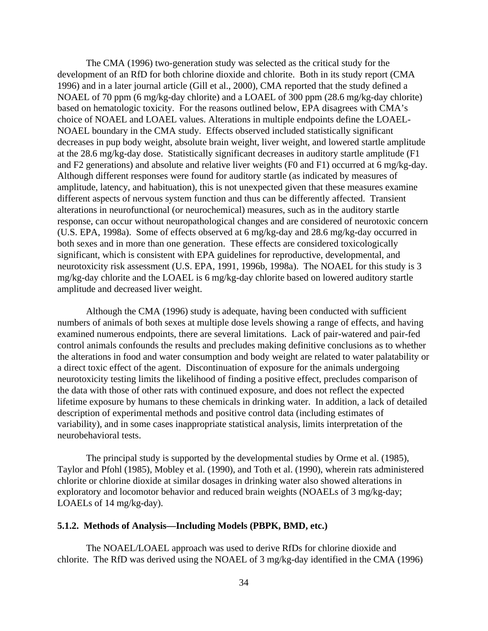The CMA (1996) two-generation study was selected as the critical study for the development of an RfD for both chlorine dioxide and chlorite. Both in its study report (CMA 1996) and in a later journal article (Gill et al., 2000), CMA reported that the study defined a NOAEL of 70 ppm (6 mg/kg-day chlorite) and a LOAEL of 300 ppm (28.6 mg/kg-day chlorite) based on hematologic toxicity. For the reasons outlined below, EPA disagrees with CMA's choice of NOAEL and LOAEL values. Alterations in multiple endpoints define the LOAEL-NOAEL boundary in the CMA study. Effects observed included statistically significant decreases in pup body weight, absolute brain weight, liver weight, and lowered startle amplitude at the 28.6 mg/kg-day dose. Statistically significant decreases in auditory startle amplitude (F1 and F2 generations) and absolute and relative liver weights (F0 and F1) occurred at 6 mg/kg-day. Although different responses were found for auditory startle (as indicated by measures of amplitude, latency, and habituation), this is not unexpected given that these measures examine different aspects of nervous system function and thus can be differently affected. Transient alterations in neurofunctional (or neurochemical) measures, such as in the auditory startle response, can occur without neuropathological changes and are considered of neurotoxic concern (U.S. EPA, 1998a). Some of effects observed at 6 mg/kg-day and 28.6 mg/kg-day occurred in both sexes and in more than one generation. These effects are considered toxicologically significant, which is consistent with EPA guidelines for reproductive, developmental, and neurotoxicity risk assessment (U.S. EPA, 1991, 1996b, 1998a). The NOAEL for this study is 3 mg/kg-day chlorite and the LOAEL is 6 mg/kg-day chlorite based on lowered auditory startle amplitude and decreased liver weight.

Although the CMA (1996) study is adequate, having been conducted with sufficient numbers of animals of both sexes at multiple dose levels showing a range of effects, and having examined numerous endpoints, there are several limitations. Lack of pair-watered and pair-fed control animals confounds the results and precludes making definitive conclusions as to whether the alterations in food and water consumption and body weight are related to water palatability or a direct toxic effect of the agent. Discontinuation of exposure for the animals undergoing neurotoxicity testing limits the likelihood of finding a positive effect, precludes comparison of the data with those of other rats with continued exposure, and does not reflect the expected lifetime exposure by humans to these chemicals in drinking water. In addition, a lack of detailed description of experimental methods and positive control data (including estimates of variability), and in some cases inappropriate statistical analysis, limits interpretation of the neurobehavioral tests.

The principal study is supported by the developmental studies by Orme et al. (1985), Taylor and Pfohl (1985), Mobley et al. (1990), and Toth et al. (1990), wherein rats administered chlorite or chlorine dioxide at similar dosages in drinking water also showed alterations in exploratory and locomotor behavior and reduced brain weights (NOAELs of 3 mg/kg-day; LOAELs of 14 mg/kg-day).

# **5.1.2. Methods of Analysis—Including Models (PBPK, BMD, etc.)**

The NOAEL/LOAEL approach was used to derive RfDs for chlorine dioxide and chlorite. The RfD was derived using the NOAEL of 3 mg/kg-day identified in the CMA (1996)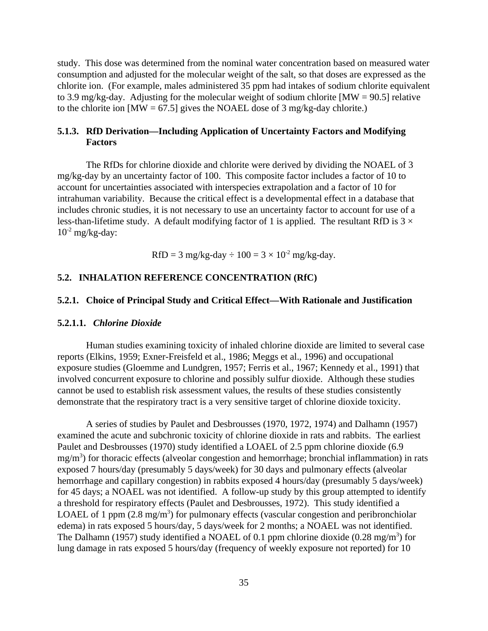study. This dose was determined from the nominal water concentration based on measured water consumption and adjusted for the molecular weight of the salt, so that doses are expressed as the chlorite ion. (For example, males administered 35 ppm had intakes of sodium chlorite equivalent to 3.9 mg/kg-day. Adjusting for the molecular weight of sodium chlorite [MW = 90.5] relative to the chlorite ion  $[MW = 67.5]$  gives the NOAEL dose of 3 mg/kg-day chlorite.)

# **5.1.3. RfD Derivation—Including Application of Uncertainty Factors and Modifying Factors**

The RfDs for chlorine dioxide and chlorite were derived by dividing the NOAEL of 3 mg/kg-day by an uncertainty factor of 100. This composite factor includes a factor of 10 to account for uncertainties associated with interspecies extrapolation and a factor of 10 for intrahuman variability. Because the critical effect is a developmental effect in a database that includes chronic studies, it is not necessary to use an uncertainty factor to account for use of a less-than-lifetime study. A default modifying factor of 1 is applied. The resultant RfD is  $3 \times$  $10^{-2}$  mg/kg-day:

RfD = 3 mg/kg-day  $\div 100 = 3 \times 10^{-2}$  mg/kg-day.

# **5.2. INHALATION REFERENCE CONCENTRATION (RfC)**

#### **5.2.1. Choice of Principal Study and Critical Effect—With Rationale and Justification**

#### **5.2.1.1.** *Chlorine Dioxide*

Human studies examining toxicity of inhaled chlorine dioxide are limited to several case reports (Elkins, 1959; Exner-Freisfeld et al., 1986; Meggs et al., 1996) and occupational exposure studies (Gloemme and Lundgren, 1957; Ferris et al., 1967; Kennedy et al., 1991) that involved concurrent exposure to chlorine and possibly sulfur dioxide. Although these studies cannot be used to establish risk assessment values, the results of these studies consistently demonstrate that the respiratory tract is a very sensitive target of chlorine dioxide toxicity.

A series of studies by Paulet and Desbrousses (1970, 1972, 1974) and Dalhamn (1957) examined the acute and subchronic toxicity of chlorine dioxide in rats and rabbits. The earliest Paulet and Desbrousses (1970) study identified a LOAEL of 2.5 ppm chlorine dioxide (6.9 mg/m<sup>3</sup>) for thoracic effects (alveolar congestion and hemorrhage; bronchial inflammation) in rats exposed 7 hours/day (presumably 5 days/week) for 30 days and pulmonary effects (alveolar hemorrhage and capillary congestion) in rabbits exposed 4 hours/day (presumably 5 days/week) for 45 days; a NOAEL was not identified. A follow-up study by this group attempted to identify a threshold for respiratory effects (Paulet and Desbrousses, 1972). This study identified a LOAEL of 1 ppm  $(2.8 \text{ mg/m}^3)$  for pulmonary effects (vascular congestion and peribronchiolar edema) in rats exposed 5 hours/day, 5 days/week for 2 months; a NOAEL was not identified. The Dalhamn (1957) study identified a NOAEL of 0.1 ppm chlorine dioxide (0.28 mg/m<sup>3</sup>) for lung damage in rats exposed 5 hours/day (frequency of weekly exposure not reported) for 10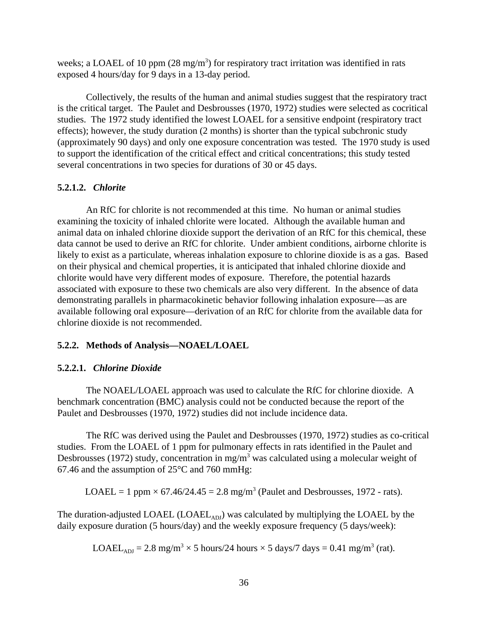weeks; a LOAEL of 10 ppm  $(28 \text{ mg/m}^3)$  for respiratory tract irritation was identified in rats exposed 4 hours/day for 9 days in a 13-day period.

Collectively, the results of the human and animal studies suggest that the respiratory tract is the critical target. The Paulet and Desbrousses (1970, 1972) studies were selected as cocritical studies. The 1972 study identified the lowest LOAEL for a sensitive endpoint (respiratory tract effects); however, the study duration (2 months) is shorter than the typical subchronic study (approximately 90 days) and only one exposure concentration was tested. The 1970 study is used to support the identification of the critical effect and critical concentrations; this study tested several concentrations in two species for durations of 30 or 45 days.

#### **5.2.1.2.** *Chlorite*

An RfC for chlorite is not recommended at this time. No human or animal studies examining the toxicity of inhaled chlorite were located. Although the available human and animal data on inhaled chlorine dioxide support the derivation of an RfC for this chemical, these data cannot be used to derive an RfC for chlorite. Under ambient conditions, airborne chlorite is likely to exist as a particulate, whereas inhalation exposure to chlorine dioxide is as a gas. Based on their physical and chemical properties, it is anticipated that inhaled chlorine dioxide and chlorite would have very different modes of exposure. Therefore, the potential hazards associated with exposure to these two chemicals are also very different. In the absence of data demonstrating parallels in pharmacokinetic behavior following inhalation exposure—as are available following oral exposure—derivation of an RfC for chlorite from the available data for chlorine dioxide is not recommended.

#### **5.2.2. Methods of Analysis—NOAEL/LOAEL**

#### **5.2.2.1.** *Chlorine Dioxide*

The NOAEL/LOAEL approach was used to calculate the RfC for chlorine dioxide. A benchmark concentration (BMC) analysis could not be conducted because the report of the Paulet and Desbrousses (1970, 1972) studies did not include incidence data.

The RfC was derived using the Paulet and Desbrousses (1970, 1972) studies as co-critical studies. From the LOAEL of 1 ppm for pulmonary effects in rats identified in the Paulet and Desbrousses (1972) study, concentration in mg/m<sup>3</sup> was calculated using a molecular weight of 67.46 and the assumption of 25°C and 760 mmHg:

LOAEL = 1 ppm  $\times$  67.46/24.45 = 2.8 mg/m<sup>3</sup> (Paulet and Desbrousses, 1972 - rats).

The duration-adjusted LOAEL (LOAEL<sub>ADJ</sub>) was calculated by multiplying the LOAEL by the daily exposure duration (5 hours/day) and the weekly exposure frequency (5 days/week):

LOAEL<sub>ADJ</sub> = 2.8 mg/m<sup>3</sup>  $\times$  5 hours/24 hours  $\times$  5 days/7 days = 0.41 mg/m<sup>3</sup> (rat).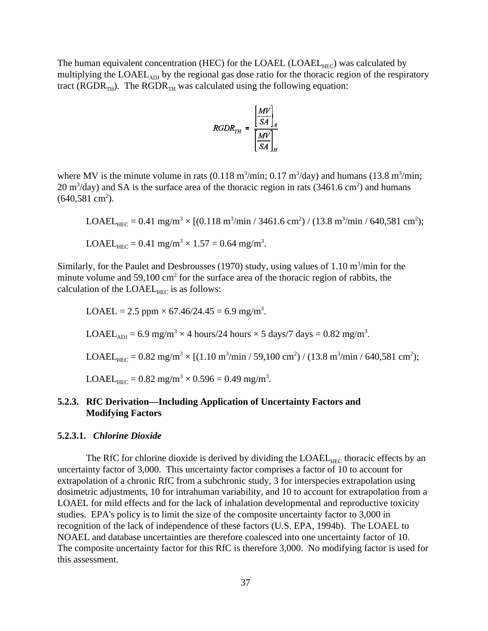The human equivalent concentration (HEC) for the LOAEL (LOAEL<sub>HEC</sub>) was calculated by multiplying the LOAEL<sub>ADJ</sub> by the regional gas dose ratio for the thoracic region of the respiratory tract ( $RGDR_{TH}$ ). The  $RGDR_{TH}$  was calculated using the following equation:

$$
RGDR_{TH} = \frac{\left[\frac{MV}{SA}\right]_A}{\left[\frac{MV}{SA}\right]_H}
$$

where MV is the minute volume in rats  $(0.118 \text{ m}^3/\text{min}; 0.17 \text{ m}^3/\text{day})$  and humans  $(13.8 \text{ m}^3/\text{min};$  $20 \text{ m}^3/\text{day}$ ) and SA is the surface area of the thoracic region in rats (3461.6 cm<sup>2</sup>) and humans  $(640,581 \text{ cm}^2)$ .

$$
LOAEL_{HEC} = 0.41 \text{ mg/m}^3 \times [(0.118 \text{ m}^3/\text{min} / 3461.6 \text{ cm}^2) / (13.8 \text{ m}^3/\text{min} / 640,581 \text{ cm}^2);
$$
  
\n
$$
LOAEL_{HEC} = 0.41 \text{ mg/m}^3 \times 1.57 = 0.64 \text{ mg/m}^3.
$$

Similarly, for the Paulet and Desbrousses (1970) study, using values of  $1.10 \text{ m}^3/\text{min}$  for the minute volume and  $59,100 \text{ cm}^2$  for the surface area of the thoracic region of rabbits, the calculation of the  $LOAEL_{HEC}$  is as follows:

LOAEL = 2.5 ppm × 67.46/24.45 = 6.9 mg/m3 . LOAELADJ = 6.9 mg/m3 × 4 hours/24 hours × 5 days/7 days = 0.82 mg/m3 . LOAELHEC = 0.82 mg/m3 × [(1.10 m3 /min / 59,100 cm2 ) / (13.8 m3 /min / 640,581 cm2 ); LOAELHEC = 0.82 mg/m3 × 0.596 = 0.49 mg/m3 .

# **5.2.3. RfC Derivation—Including Application of Uncertainty Factors and Modifying Factors**

#### **5.2.3.1.** *Chlorine Dioxide*

The RfC for chlorine dioxide is derived by dividing the  $LOAEL<sub>HEC</sub>$  thoracic effects by an uncertainty factor of 3,000. This uncertainty factor comprises a factor of 10 to account for extrapolation of a chronic RfC from a subchronic study, 3 for interspecies extrapolation using dosimetric adjustments, 10 for intrahuman variability, and 10 to account for extrapolation from a LOAEL for mild effects and for the lack of inhalation developmental and reproductive toxicity studies. EPA's policy is to limit the size of the composite uncertainty factor to 3,000 in recognition of the lack of independence of these factors (U.S. EPA, 1994b). The LOAEL to NOAEL and database uncertainties are therefore coalesced into one uncertainty factor of 10. The composite uncertainty factor for this RfC is therefore 3,000. No modifying factor is used for this assessment.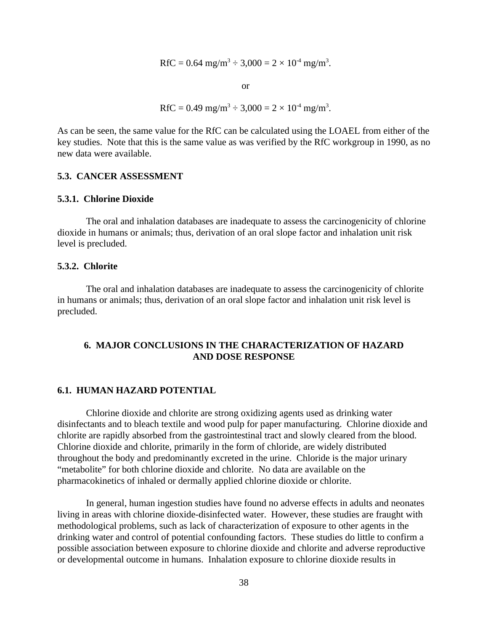RfC = 0.64 mg/m<sup>3</sup>  $\div$  3,000 = 2  $\times$  10<sup>-4</sup> mg/m<sup>3</sup>.

or

RfC = 0.49 mg/m<sup>3</sup>  $\div$  3,000 = 2  $\times$  10<sup>-4</sup> mg/m<sup>3</sup>.

As can be seen, the same value for the RfC can be calculated using the LOAEL from either of the key studies. Note that this is the same value as was verified by the RfC workgroup in 1990, as no new data were available.

# **5.3. CANCER ASSESSMENT**

#### **5.3.1. Chlorine Dioxide**

The oral and inhalation databases are inadequate to assess the carcinogenicity of chlorine dioxide in humans or animals; thus, derivation of an oral slope factor and inhalation unit risk level is precluded.

#### **5.3.2. Chlorite**

The oral and inhalation databases are inadequate to assess the carcinogenicity of chlorite in humans or animals; thus, derivation of an oral slope factor and inhalation unit risk level is precluded.

# **6. MAJOR CONCLUSIONS IN THE CHARACTERIZATION OF HAZARD AND DOSE RESPONSE**

#### **6.1. HUMAN HAZARD POTENTIAL**

Chlorine dioxide and chlorite are strong oxidizing agents used as drinking water disinfectants and to bleach textile and wood pulp for paper manufacturing. Chlorine dioxide and chlorite are rapidly absorbed from the gastrointestinal tract and slowly cleared from the blood. Chlorine dioxide and chlorite, primarily in the form of chloride, are widely distributed throughout the body and predominantly excreted in the urine. Chloride is the major urinary "metabolite" for both chlorine dioxide and chlorite. No data are available on the pharmacokinetics of inhaled or dermally applied chlorine dioxide or chlorite.

In general, human ingestion studies have found no adverse effects in adults and neonates living in areas with chlorine dioxide-disinfected water. However, these studies are fraught with methodological problems, such as lack of characterization of exposure to other agents in the drinking water and control of potential confounding factors. These studies do little to confirm a possible association between exposure to chlorine dioxide and chlorite and adverse reproductive or developmental outcome in humans. Inhalation exposure to chlorine dioxide results in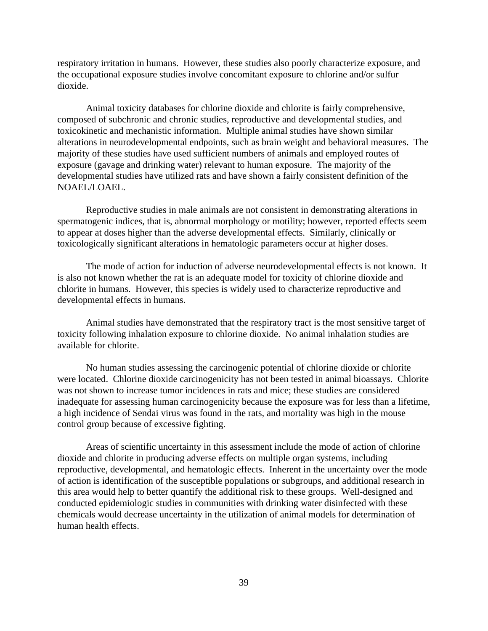respiratory irritation in humans. However, these studies also poorly characterize exposure, and the occupational exposure studies involve concomitant exposure to chlorine and/or sulfur dioxide.

Animal toxicity databases for chlorine dioxide and chlorite is fairly comprehensive, composed of subchronic and chronic studies, reproductive and developmental studies, and toxicokinetic and mechanistic information. Multiple animal studies have shown similar alterations in neurodevelopmental endpoints, such as brain weight and behavioral measures. The majority of these studies have used sufficient numbers of animals and employed routes of exposure (gavage and drinking water) relevant to human exposure. The majority of the developmental studies have utilized rats and have shown a fairly consistent definition of the NOAEL/LOAEL.

Reproductive studies in male animals are not consistent in demonstrating alterations in spermatogenic indices, that is, abnormal morphology or motility; however, reported effects seem to appear at doses higher than the adverse developmental effects. Similarly, clinically or toxicologically significant alterations in hematologic parameters occur at higher doses.

The mode of action for induction of adverse neurodevelopmental effects is not known. It is also not known whether the rat is an adequate model for toxicity of chlorine dioxide and chlorite in humans. However, this species is widely used to characterize reproductive and developmental effects in humans.

Animal studies have demonstrated that the respiratory tract is the most sensitive target of toxicity following inhalation exposure to chlorine dioxide. No animal inhalation studies are available for chlorite.

No human studies assessing the carcinogenic potential of chlorine dioxide or chlorite were located. Chlorine dioxide carcinogenicity has not been tested in animal bioassays. Chlorite was not shown to increase tumor incidences in rats and mice; these studies are considered inadequate for assessing human carcinogenicity because the exposure was for less than a lifetime, a high incidence of Sendai virus was found in the rats, and mortality was high in the mouse control group because of excessive fighting.

Areas of scientific uncertainty in this assessment include the mode of action of chlorine dioxide and chlorite in producing adverse effects on multiple organ systems, including reproductive, developmental, and hematologic effects. Inherent in the uncertainty over the mode of action is identification of the susceptible populations or subgroups, and additional research in this area would help to better quantify the additional risk to these groups. Well-designed and conducted epidemiologic studies in communities with drinking water disinfected with these chemicals would decrease uncertainty in the utilization of animal models for determination of human health effects.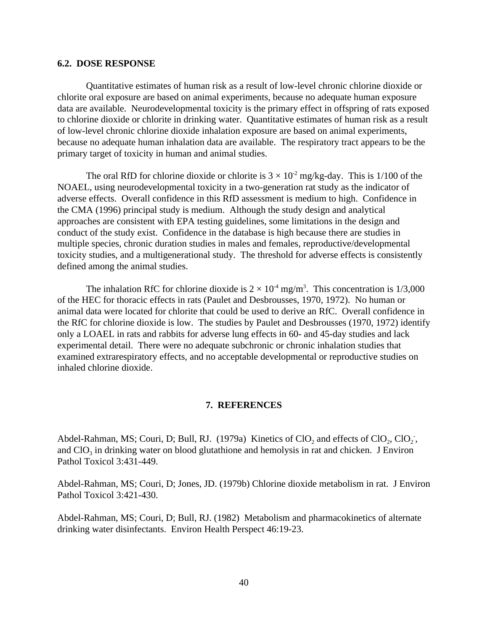#### **6.2. DOSE RESPONSE**

Quantitative estimates of human risk as a result of low-level chronic chlorine dioxide or chlorite oral exposure are based on animal experiments, because no adequate human exposure data are available. Neurodevelopmental toxicity is the primary effect in offspring of rats exposed to chlorine dioxide or chlorite in drinking water. Quantitative estimates of human risk as a result of low-level chronic chlorine dioxide inhalation exposure are based on animal experiments, because no adequate human inhalation data are available. The respiratory tract appears to be the primary target of toxicity in human and animal studies.

The oral RfD for chlorine dioxide or chlorite is  $3 \times 10^{-2}$  mg/kg-day. This is 1/100 of the NOAEL, using neurodevelopmental toxicity in a two-generation rat study as the indicator of adverse effects. Overall confidence in this RfD assessment is medium to high. Confidence in the CMA (1996) principal study is medium. Although the study design and analytical approaches are consistent with EPA testing guidelines, some limitations in the design and conduct of the study exist. Confidence in the database is high because there are studies in multiple species, chronic duration studies in males and females, reproductive/developmental toxicity studies, and a multigenerational study. The threshold for adverse effects is consistently defined among the animal studies.

The inhalation RfC for chlorine dioxide is  $2 \times 10^4$  mg/m<sup>3</sup>. This concentration is 1/3,000 of the HEC for thoracic effects in rats (Paulet and Desbrousses, 1970, 1972). No human or animal data were located for chlorite that could be used to derive an RfC. Overall confidence in the RfC for chlorine dioxide is low. The studies by Paulet and Desbrousses (1970, 1972) identify only a LOAEL in rats and rabbits for adverse lung effects in 60- and 45-day studies and lack experimental detail. There were no adequate subchronic or chronic inhalation studies that examined extrarespiratory effects, and no acceptable developmental or reproductive studies on inhaled chlorine dioxide.

#### **7. REFERENCES**

Abdel-Rahman, MS; Couri, D; Bull, RJ. (1979a) Kinetics of  $ClO_2$  and effects of  $ClO_2$ ,  $ClO_2$ , Pathol Toxicol 3:431-449. and  $ClO<sub>3</sub>$  in drinking water on blood glutathione and hemolysis in rat and chicken. J Environ

Abdel-Rahman, MS; Couri, D; Jones, JD. (1979b) Chlorine dioxide metabolism in rat. J Environ Pathol Toxicol 3:421-430.

Abdel-Rahman, MS; Couri, D; Bull, RJ. (1982) Metabolism and pharmacokinetics of alternate drinking water disinfectants. Environ Health Perspect 46:19-23.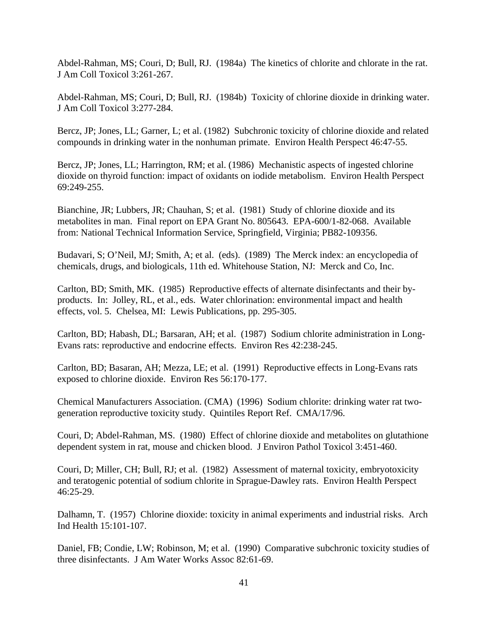Abdel-Rahman, MS; Couri, D; Bull, RJ. (1984a) The kinetics of chlorite and chlorate in the rat. J Am Coll Toxicol 3:261-267.

Abdel-Rahman, MS; Couri, D; Bull, RJ. (1984b) Toxicity of chlorine dioxide in drinking water. J Am Coll Toxicol 3:277-284.

Bercz, JP; Jones, LL; Garner, L; et al. (1982) Subchronic toxicity of chlorine dioxide and related compounds in drinking water in the nonhuman primate. Environ Health Perspect 46:47-55.

Bercz, JP; Jones, LL; Harrington, RM; et al. (1986) Mechanistic aspects of ingested chlorine dioxide on thyroid function: impact of oxidants on iodide metabolism. Environ Health Perspect 69:249-255.

Bianchine, JR; Lubbers, JR; Chauhan, S; et al. (1981) Study of chlorine dioxide and its metabolites in man. Final report on EPA Grant No. 805643. EPA-600/1-82-068. Available from: National Technical Information Service, Springfield, Virginia; PB82-109356.

Budavari, S; O'Neil, MJ; Smith, A; et al. (eds). (1989) The Merck index: an encyclopedia of chemicals, drugs, and biologicals, 11th ed. Whitehouse Station, NJ: Merck and Co, Inc.

Carlton, BD; Smith, MK. (1985) Reproductive effects of alternate disinfectants and their byproducts. In: Jolley, RL, et al., eds. Water chlorination: environmental impact and health effects, vol. 5. Chelsea, MI: Lewis Publications, pp. 295-305.

Carlton, BD; Habash, DL; Barsaran, AH; et al. (1987) Sodium chlorite administration in Long-Evans rats: reproductive and endocrine effects. Environ Res 42:238-245.

Carlton, BD; Basaran, AH; Mezza, LE; et al. (1991) Reproductive effects in Long-Evans rats exposed to chlorine dioxide. Environ Res 56:170-177.

Chemical Manufacturers Association. (CMA) (1996) Sodium chlorite: drinking water rat twogeneration reproductive toxicity study. Quintiles Report Ref. CMA/17/96.

Couri, D; Abdel-Rahman, MS. (1980) Effect of chlorine dioxide and metabolites on glutathione dependent system in rat, mouse and chicken blood. J Environ Pathol Toxicol 3:451-460.

Couri, D; Miller, CH; Bull, RJ; et al. (1982) Assessment of maternal toxicity, embryotoxicity and teratogenic potential of sodium chlorite in Sprague-Dawley rats. Environ Health Perspect 46:25-29.

Dalhamn, T. (1957) Chlorine dioxide: toxicity in animal experiments and industrial risks. Arch Ind Health 15:101-107.

Daniel, FB; Condie, LW; Robinson, M; et al. (1990) Comparative subchronic toxicity studies of three disinfectants. J Am Water Works Assoc 82:61-69.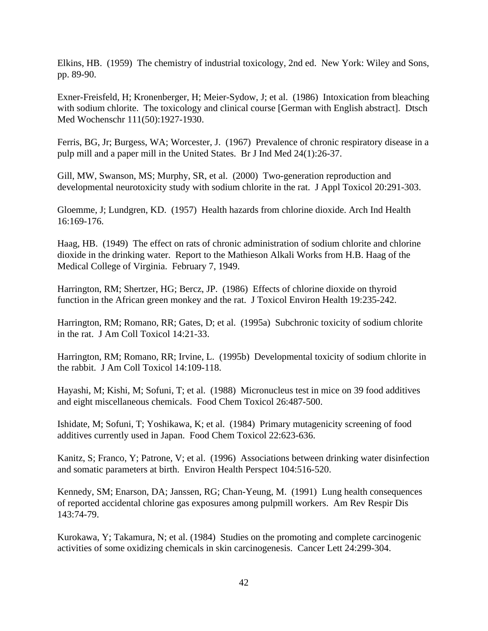Elkins, HB. (1959) The chemistry of industrial toxicology, 2nd ed. New York: Wiley and Sons, pp. 89-90.

Exner-Freisfeld, H; Kronenberger, H; Meier-Sydow, J; et al. (1986) Intoxication from bleaching with sodium chlorite. The toxicology and clinical course [German with English abstract]. Dtsch Med Wochenschr 111(50):1927-1930.

Ferris, BG, Jr; Burgess, WA; Worcester, J. (1967) Prevalence of chronic respiratory disease in a pulp mill and a paper mill in the United States. Br J Ind Med 24(1):26-37.

Gill, MW, Swanson, MS; Murphy, SR, et al. (2000) Two-generation reproduction and developmental neurotoxicity study with sodium chlorite in the rat. J Appl Toxicol 20:291-303.

Gloemme, J; Lundgren, KD. (1957) Health hazards from chlorine dioxide. Arch Ind Health 16:169-176.

Haag, HB. (1949) The effect on rats of chronic administration of sodium chlorite and chlorine dioxide in the drinking water. Report to the Mathieson Alkali Works from H.B. Haag of the Medical College of Virginia. February 7, 1949.

Harrington, RM; Shertzer, HG; Bercz, JP. (1986) Effects of chlorine dioxide on thyroid function in the African green monkey and the rat. J Toxicol Environ Health 19:235-242.

Harrington, RM; Romano, RR; Gates, D; et al. (1995a) Subchronic toxicity of sodium chlorite in the rat. J Am Coll Toxicol 14:21-33.

Harrington, RM; Romano, RR; Irvine, L. (1995b) Developmental toxicity of sodium chlorite in the rabbit. J Am Coll Toxicol 14:109-118.

Hayashi, M; Kishi, M; Sofuni, T; et al. (1988) Micronucleus test in mice on 39 food additives and eight miscellaneous chemicals. Food Chem Toxicol 26:487-500.

Ishidate, M; Sofuni, T; Yoshikawa, K; et al. (1984) Primary mutagenicity screening of food additives currently used in Japan. Food Chem Toxicol 22:623-636.

Kanitz, S; Franco, Y; Patrone, V; et al. (1996) Associations between drinking water disinfection and somatic parameters at birth. Environ Health Perspect 104:516-520.

Kennedy, SM; Enarson, DA; Janssen, RG; Chan-Yeung, M. (1991) Lung health consequences of reported accidental chlorine gas exposures among pulpmill workers. Am Rev Respir Dis 143:74-79.

Kurokawa, Y; Takamura, N; et al. (1984) Studies on the promoting and complete carcinogenic activities of some oxidizing chemicals in skin carcinogenesis. Cancer Lett 24:299-304.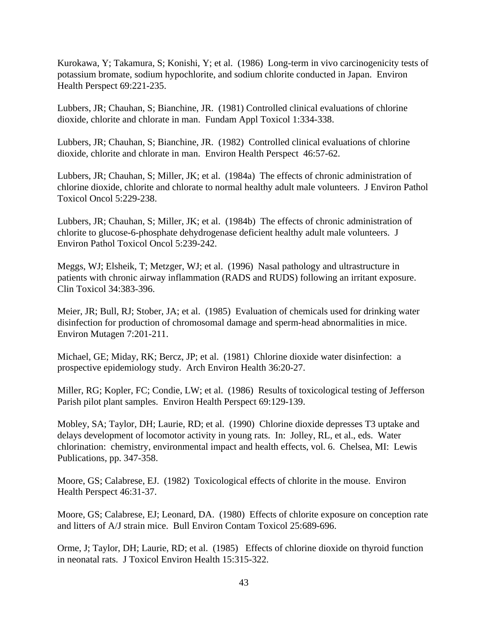Kurokawa, Y; Takamura, S; Konishi, Y; et al. (1986) Long-term in vivo carcinogenicity tests of potassium bromate, sodium hypochlorite, and sodium chlorite conducted in Japan. Environ Health Perspect 69:221-235.

Lubbers, JR; Chauhan, S; Bianchine, JR. (1981) Controlled clinical evaluations of chlorine dioxide, chlorite and chlorate in man. Fundam Appl Toxicol 1:334-338.

Lubbers, JR; Chauhan, S; Bianchine, JR. (1982) Controlled clinical evaluations of chlorine dioxide, chlorite and chlorate in man. Environ Health Perspect 46:57-62.

Lubbers, JR; Chauhan, S; Miller, JK; et al. (1984a) The effects of chronic administration of chlorine dioxide, chlorite and chlorate to normal healthy adult male volunteers. J Environ Pathol Toxicol Oncol 5:229-238.

Lubbers, JR; Chauhan, S; Miller, JK; et al. (1984b) The effects of chronic administration of chlorite to glucose-6-phosphate dehydrogenase deficient healthy adult male volunteers. J Environ Pathol Toxicol Oncol 5:239-242.

Meggs, WJ; Elsheik, T; Metzger, WJ; et al. (1996) Nasal pathology and ultrastructure in patients with chronic airway inflammation (RADS and RUDS) following an irritant exposure. Clin Toxicol 34:383-396.

Meier, JR; Bull, RJ; Stober, JA; et al. (1985) Evaluation of chemicals used for drinking water disinfection for production of chromosomal damage and sperm-head abnormalities in mice. Environ Mutagen 7:201-211.

Michael, GE; Miday, RK; Bercz, JP; et al. (1981) Chlorine dioxide water disinfection: a prospective epidemiology study. Arch Environ Health 36:20-27.

Miller, RG; Kopler, FC; Condie, LW; et al. (1986) Results of toxicological testing of Jefferson Parish pilot plant samples. Environ Health Perspect 69:129-139.

Mobley, SA; Taylor, DH; Laurie, RD; et al. (1990) Chlorine dioxide depresses T3 uptake and delays development of locomotor activity in young rats. In: Jolley, RL, et al., eds. Water chlorination: chemistry, environmental impact and health effects, vol. 6. Chelsea, MI: Lewis Publications, pp. 347-358.

Moore, GS; Calabrese, EJ. (1982) Toxicological effects of chlorite in the mouse. Environ Health Perspect 46:31-37.

Moore, GS; Calabrese, EJ; Leonard, DA. (1980) Effects of chlorite exposure on conception rate and litters of A/J strain mice. Bull Environ Contam Toxicol 25:689-696.

Orme, J; Taylor, DH; Laurie, RD; et al. (1985) Effects of chlorine dioxide on thyroid function in neonatal rats. J Toxicol Environ Health 15:315-322.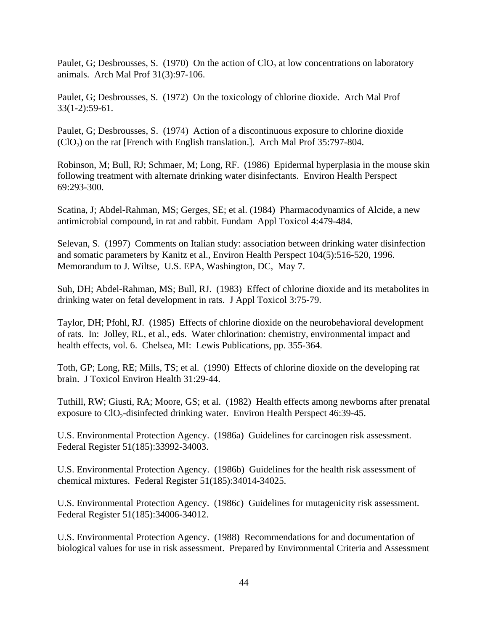Paulet, G; Desbrousses, S. (1970) On the action of  $ClO<sub>2</sub>$  at low concentrations on laboratory animals. Arch Mal Prof 31(3):97-106.

Paulet, G; Desbrousses, S. (1972) On the toxicology of chlorine dioxide. Arch Mal Prof 33(1-2):59-61.

Paulet, G; Desbrousses, S. (1974) Action of a discontinuous exposure to chlorine dioxide  $(CIO<sub>2</sub>)$  on the rat [French with English translation.]. Arch Mal Prof 35:797-804.

Robinson, M; Bull, RJ; Schmaer, M; Long, RF. (1986) Epidermal hyperplasia in the mouse skin following treatment with alternate drinking water disinfectants. Environ Health Perspect 69:293-300.

Scatina, J; Abdel-Rahman, MS; Gerges, SE; et al. (1984) Pharmacodynamics of Alcide, a new antimicrobial compound, in rat and rabbit. Fundam Appl Toxicol 4:479-484.

Selevan, S. (1997) Comments on Italian study: association between drinking water disinfection and somatic parameters by Kanitz et al., Environ Health Perspect 104(5):516-520, 1996. Memorandum to J. Wiltse, U.S. EPA, Washington, DC, May 7.

Suh, DH; Abdel-Rahman, MS; Bull, RJ. (1983) Effect of chlorine dioxide and its metabolites in drinking water on fetal development in rats. J Appl Toxicol 3:75-79.

Taylor, DH; Pfohl, RJ. (1985) Effects of chlorine dioxide on the neurobehavioral development of rats. In: Jolley, RL, et al., eds. Water chlorination: chemistry, environmental impact and health effects, vol. 6. Chelsea, MI: Lewis Publications, pp. 355-364.

Toth, GP; Long, RE; Mills, TS; et al. (1990) Effects of chlorine dioxide on the developing rat brain. J Toxicol Environ Health 31:29-44.

Tuthill, RW; Giusti, RA; Moore, GS; et al. (1982) Health effects among newborns after prenatal exposure to  $ClO<sub>2</sub>$ -disinfected drinking water. Environ Health Perspect 46:39-45.

U.S. Environmental Protection Agency. (1986a) Guidelines for carcinogen risk assessment. Federal Register 51(185):33992-34003.

U.S. Environmental Protection Agency. (1986b) Guidelines for the health risk assessment of chemical mixtures. Federal Register 51(185):34014-34025.

U.S. Environmental Protection Agency. (1986c) Guidelines for mutagenicity risk assessment. Federal Register 51(185):34006-34012.

U.S. Environmental Protection Agency. (1988) Recommendations for and documentation of biological values for use in risk assessment. Prepared by Environmental Criteria and Assessment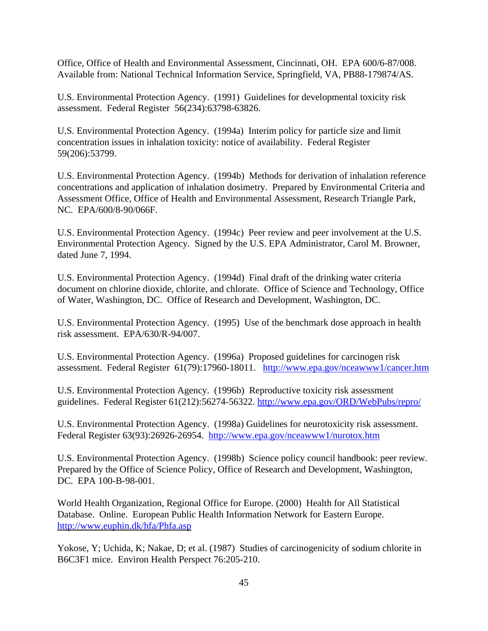Office, Office of Health and Environmental Assessment, Cincinnati, OH. EPA 600/6-87/008. Available from: National Technical Information Service, Springfield, VA, PB88-179874/AS.

U.S. Environmental Protection Agency. (1991) Guidelines for developmental toxicity risk assessment. Federal Register 56(234):63798-63826.

U.S. Environmental Protection Agency. (1994a) Interim policy for particle size and limit concentration issues in inhalation toxicity: notice of availability. Federal Register 59(206):53799.

U.S. Environmental Protection Agency. (1994b) Methods for derivation of inhalation reference concentrations and application of inhalation dosimetry. Prepared by Environmental Criteria and Assessment Office, Office of Health and Environmental Assessment, Research Triangle Park, NC. EPA/600/8-90/066F.

U.S. Environmental Protection Agency. (1994c) Peer review and peer involvement at the U.S. Environmental Protection Agency. Signed by the U.S. EPA Administrator, Carol M. Browner, dated June 7, 1994.

U.S. Environmental Protection Agency. (1994d) Final draft of the drinking water criteria document on chlorine dioxide, chlorite, and chlorate. Office of Science and Technology, Office of Water, Washington, DC. Office of Research and Development, Washington, DC.

U.S. Environmental Protection Agency. (1995) Use of the benchmark dose approach in health risk assessment. EPA/630/R-94/007.

U.S. Environmental Protection Agency. (1996a) Proposed guidelines for carcinogen risk assessment. Federal Register 61(79):17960-18011. http://www.epa.gov/nceawww1/cancer.htm

U.S. Environmental Protection Agency. (1996b) Reproductive toxicity risk assessment guidelines. Federal Register 61(212):56274-56322. http://www.epa.gov/ORD/WebPubs/repro/

U.S. Environmental Protection Agency. (1998a) Guidelines for neurotoxicity risk assessment. Federal Register 63(93):26926-26954. http://www.epa.gov/nceawww1/nurotox.htm

U.S. Environmental Protection Agency. (1998b) Science policy council handbook: peer review. Prepared by the Office of Science Policy, Office of Research and Development, Washington, DC. EPA 100-B-98-001.

World Health Organization, Regional Office for Europe. (2000) Health for All Statistical Database. Online. European Public Health Information Network for Eastern Europe. http://www.euphin.dk/hfa/Phfa.asp

Yokose, Y; Uchida, K; Nakae, D; et al. (1987) Studies of carcinogenicity of sodium chlorite in B6C3F1 mice. Environ Health Perspect 76:205-210.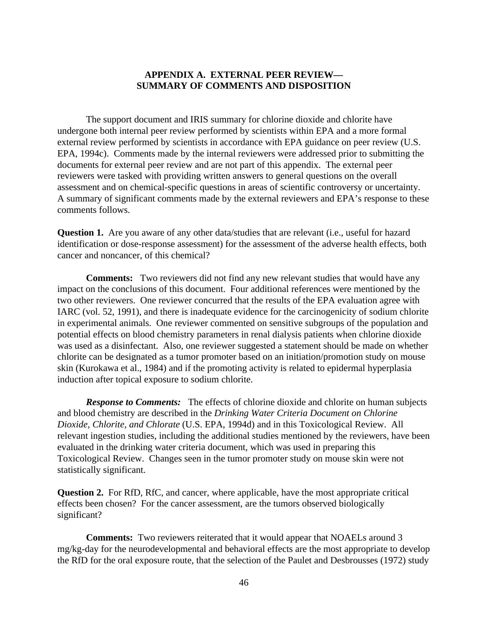# **APPENDIX A. EXTERNAL PEER REVIEW— SUMMARY OF COMMENTS AND DISPOSITION**

The support document and IRIS summary for chlorine dioxide and chlorite have undergone both internal peer review performed by scientists within EPA and a more formal external review performed by scientists in accordance with EPA guidance on peer review (U.S. EPA, 1994c). Comments made by the internal reviewers were addressed prior to submitting the documents for external peer review and are not part of this appendix. The external peer reviewers were tasked with providing written answers to general questions on the overall assessment and on chemical-specific questions in areas of scientific controversy or uncertainty. A summary of significant comments made by the external reviewers and EPA's response to these comments follows.

**Question 1.** Are you aware of any other data/studies that are relevant (i.e., useful for hazard identification or dose-response assessment) for the assessment of the adverse health effects, both cancer and noncancer, of this chemical?

**Comments:** Two reviewers did not find any new relevant studies that would have any impact on the conclusions of this document. Four additional references were mentioned by the two other reviewers. One reviewer concurred that the results of the EPA evaluation agree with IARC (vol. 52, 1991), and there is inadequate evidence for the carcinogenicity of sodium chlorite in experimental animals. One reviewer commented on sensitive subgroups of the population and potential effects on blood chemistry parameters in renal dialysis patients when chlorine dioxide was used as a disinfectant. Also, one reviewer suggested a statement should be made on whether chlorite can be designated as a tumor promoter based on an initiation/promotion study on mouse skin (Kurokawa et al., 1984) and if the promoting activity is related to epidermal hyperplasia induction after topical exposure to sodium chlorite.

*Response to Comments:* The effects of chlorine dioxide and chlorite on human subjects and blood chemistry are described in the *Drinking Water Criteria Document on Chlorine Dioxide, Chlorite, and Chlorate* (U.S. EPA, 1994d) and in this Toxicological Review. All relevant ingestion studies, including the additional studies mentioned by the reviewers, have been evaluated in the drinking water criteria document, which was used in preparing this Toxicological Review. Changes seen in the tumor promoter study on mouse skin were not statistically significant.

**Question 2.** For RfD, RfC, and cancer, where applicable, have the most appropriate critical effects been chosen? For the cancer assessment, are the tumors observed biologically significant?

**Comments:** Two reviewers reiterated that it would appear that NOAELs around 3 mg/kg-day for the neurodevelopmental and behavioral effects are the most appropriate to develop the RfD for the oral exposure route, that the selection of the Paulet and Desbrousses (1972) study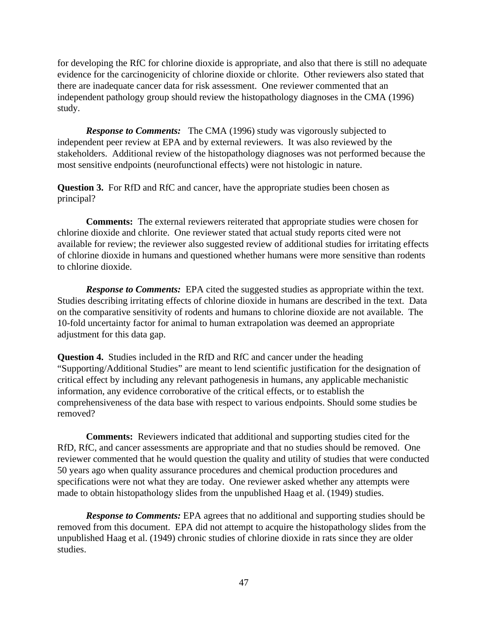for developing the RfC for chlorine dioxide is appropriate, and also that there is still no adequate evidence for the carcinogenicity of chlorine dioxide or chlorite. Other reviewers also stated that there are inadequate cancer data for risk assessment. One reviewer commented that an independent pathology group should review the histopathology diagnoses in the CMA (1996) study.

*Response to Comments:* The CMA (1996) study was vigorously subjected to independent peer review at EPA and by external reviewers. It was also reviewed by the stakeholders. Additional review of the histopathology diagnoses was not performed because the most sensitive endpoints (neurofunctional effects) were not histologic in nature.

**Question 3.** For RfD and RfC and cancer, have the appropriate studies been chosen as principal?

**Comments:** The external reviewers reiterated that appropriate studies were chosen for chlorine dioxide and chlorite. One reviewer stated that actual study reports cited were not available for review; the reviewer also suggested review of additional studies for irritating effects of chlorine dioxide in humans and questioned whether humans were more sensitive than rodents to chlorine dioxide.

*Response to Comments:* EPA cited the suggested studies as appropriate within the text. Studies describing irritating effects of chlorine dioxide in humans are described in the text. Data on the comparative sensitivity of rodents and humans to chlorine dioxide are not available. The 10-fold uncertainty factor for animal to human extrapolation was deemed an appropriate adjustment for this data gap.

**Question 4.** Studies included in the RfD and RfC and cancer under the heading "Supporting/Additional Studies" are meant to lend scientific justification for the designation of critical effect by including any relevant pathogenesis in humans, any applicable mechanistic information, any evidence corroborative of the critical effects, or to establish the comprehensiveness of the data base with respect to various endpoints. Should some studies be removed?

**Comments:** Reviewers indicated that additional and supporting studies cited for the RfD, RfC, and cancer assessments are appropriate and that no studies should be removed. One reviewer commented that he would question the quality and utility of studies that were conducted 50 years ago when quality assurance procedures and chemical production procedures and specifications were not what they are today. One reviewer asked whether any attempts were made to obtain histopathology slides from the unpublished Haag et al. (1949) studies.

*Response to Comments:* EPA agrees that no additional and supporting studies should be removed from this document. EPA did not attempt to acquire the histopathology slides from the unpublished Haag et al. (1949) chronic studies of chlorine dioxide in rats since they are older studies.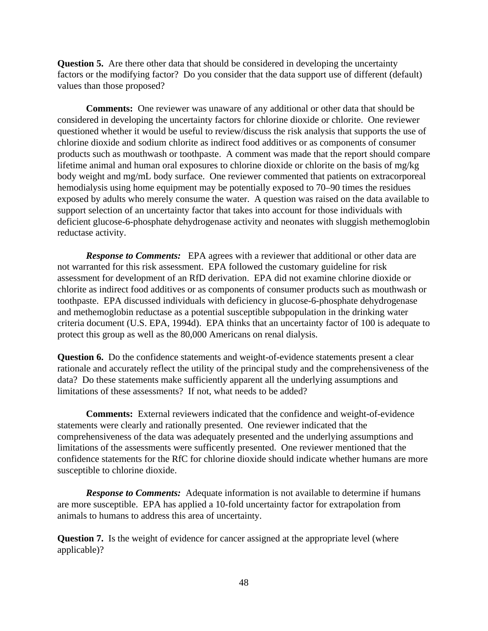**Question 5.** Are there other data that should be considered in developing the uncertainty factors or the modifying factor? Do you consider that the data support use of different (default) values than those proposed?

**Comments:** One reviewer was unaware of any additional or other data that should be considered in developing the uncertainty factors for chlorine dioxide or chlorite. One reviewer questioned whether it would be useful to review/discuss the risk analysis that supports the use of chlorine dioxide and sodium chlorite as indirect food additives or as components of consumer products such as mouthwash or toothpaste. A comment was made that the report should compare lifetime animal and human oral exposures to chlorine dioxide or chlorite on the basis of mg/kg body weight and mg/mL body surface. One reviewer commented that patients on extracorporeal hemodialysis using home equipment may be potentially exposed to 70–90 times the residues exposed by adults who merely consume the water. A question was raised on the data available to support selection of an uncertainty factor that takes into account for those individuals with deficient glucose-6-phosphate dehydrogenase activity and neonates with sluggish methemoglobin reductase activity.

**Response to Comments:** EPA agrees with a reviewer that additional or other data are not warranted for this risk assessment. EPA followed the customary guideline for risk assessment for development of an RfD derivation. EPA did not examine chlorine dioxide or chlorite as indirect food additives or as components of consumer products such as mouthwash or toothpaste. EPA discussed individuals with deficiency in glucose-6-phosphate dehydrogenase and methemoglobin reductase as a potential susceptible subpopulation in the drinking water criteria document (U.S. EPA, 1994d). EPA thinks that an uncertainty factor of 100 is adequate to protect this group as well as the 80,000 Americans on renal dialysis.

**Question 6.** Do the confidence statements and weight-of-evidence statements present a clear rationale and accurately reflect the utility of the principal study and the comprehensiveness of the data? Do these statements make sufficiently apparent all the underlying assumptions and limitations of these assessments? If not, what needs to be added?

**Comments:** External reviewers indicated that the confidence and weight-of-evidence statements were clearly and rationally presented. One reviewer indicated that the comprehensiveness of the data was adequately presented and the underlying assumptions and limitations of the assessments were sufficently presented. One reviewer mentioned that the confidence statements for the RfC for chlorine dioxide should indicate whether humans are more susceptible to chlorine dioxide.

*Response to Comments:* Adequate information is not available to determine if humans are more susceptible. EPA has applied a 10-fold uncertainty factor for extrapolation from animals to humans to address this area of uncertainty.

**Question 7.** Is the weight of evidence for cancer assigned at the appropriate level (where applicable)?